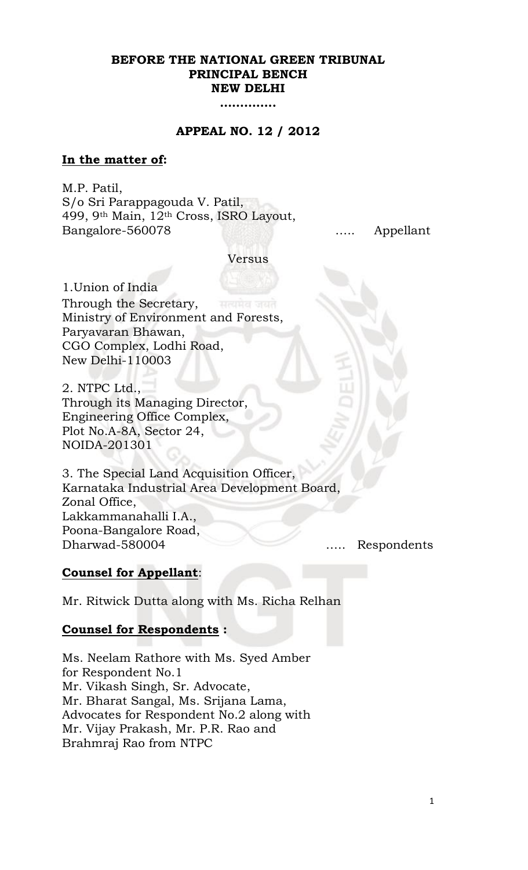### **BEFORE THE NATIONAL GREEN TRIBUNAL PRINCIPAL BENCH NEW DELHI**

**…………..**

### **APPEAL NO. 12 / 2012**

### **In the matter of:**

M.P. Patil, S/o Sri Parappagouda V. Patil, 499, 9th Main, 12th Cross, ISRO Layout, Bangalore-560078….. Appellant

Versus

1.Union of India Through the Secretary, Ministry of Environment and Forests, Paryavaran Bhawan, CGO Complex, Lodhi Road, New Delhi-110003

2. NTPC Ltd., Through its Managing Director, Engineering Office Complex, Plot No.A-8A, Sector 24, NOIDA-201301

3. The Special Land Acquisition Officer, Karnataka Industrial Area Development Board, Zonal Office, Lakkammanahalli I.A., Poona-Bangalore Road, Dharwad-580004 ….. Respondents

### **Counsel for Appellant**:

Mr. Ritwick Dutta along with Ms. Richa Relhan

#### **Counsel for Respondents :**

Ms. Neelam Rathore with Ms. Syed Amber for Respondent No.1 Mr. Vikash Singh, Sr. Advocate, Mr. Bharat Sangal, Ms. Srijana Lama, Advocates for Respondent No.2 along with Mr. Vijay Prakash, Mr. P.R. Rao and Brahmraj Rao from NTPC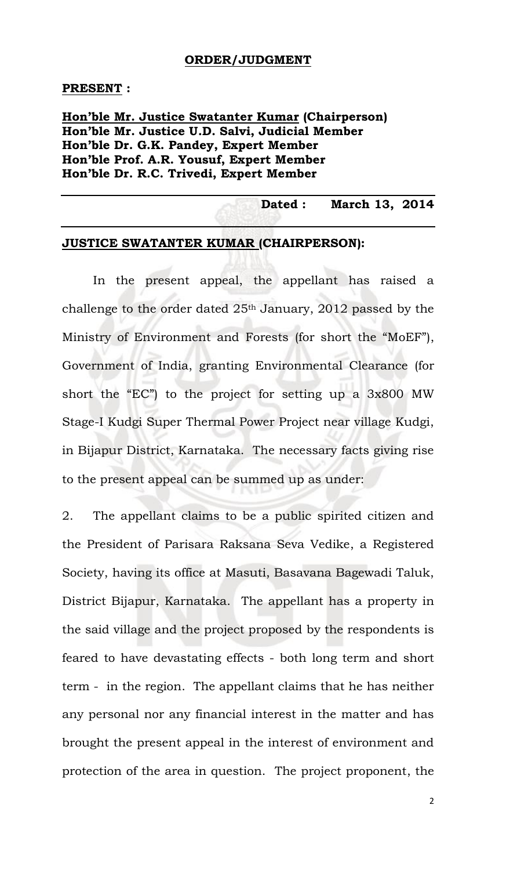### **ORDER/JUDGMENT**

#### **PRESENT :**

## **Hon'ble Mr. Justice Swatanter Kumar (Chairperson) Hon'ble Mr. Justice U.D. Salvi, Judicial Member Hon'ble Dr. G.K. Pandey, Expert Member Hon'ble Prof. A.R. Yousuf, Expert Member Hon'ble Dr. R.C. Trivedi, Expert Member**

### **Dated : March 13, 2014**

## **JUSTICE SWATANTER KUMAR (CHAIRPERSON):**

In the present appeal, the appellant has raised a challenge to the order dated 25th January, 2012 passed by the Ministry of Environment and Forests (for short the "MoEF"), Government of India, granting Environmental Clearance (for short the "EC") to the project for setting up a 3x800 MW Stage-I Kudgi Super Thermal Power Project near village Kudgi, in Bijapur District, Karnataka. The necessary facts giving rise to the present appeal can be summed up as under:

2. The appellant claims to be a public spirited citizen and the President of Parisara Raksana Seva Vedike, a Registered Society, having its office at Masuti, Basavana Bagewadi Taluk, District Bijapur, Karnataka. The appellant has a property in the said village and the project proposed by the respondents is feared to have devastating effects - both long term and short term - in the region. The appellant claims that he has neither any personal nor any financial interest in the matter and has brought the present appeal in the interest of environment and protection of the area in question. The project proponent, the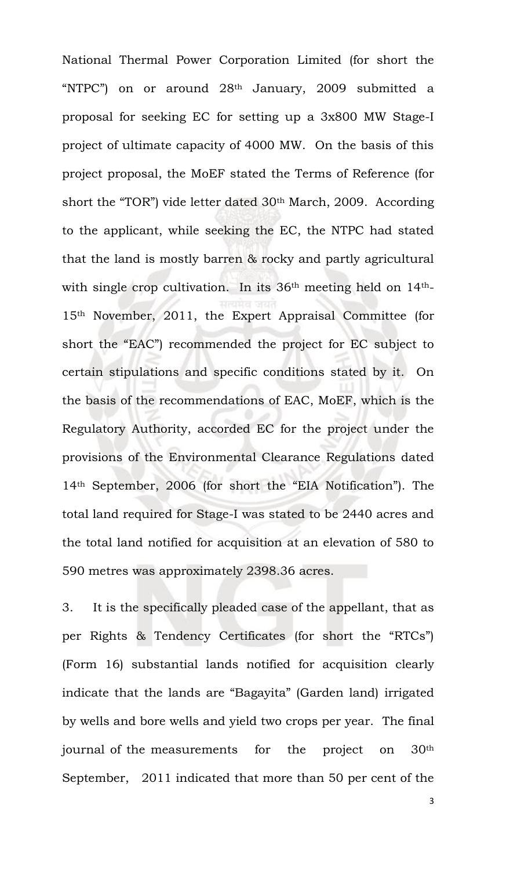National Thermal Power Corporation Limited (for short the "NTPC") on or around 28th January, 2009 submitted a proposal for seeking EC for setting up a 3x800 MW Stage-I project of ultimate capacity of 4000 MW. On the basis of this project proposal, the MoEF stated the Terms of Reference (for short the "TOR") vide letter dated 30th March, 2009. According to the applicant, while seeking the EC, the NTPC had stated that the land is mostly barren & rocky and partly agricultural with single crop cultivation. In its 36th meeting held on 14th-15th November, 2011, the Expert Appraisal Committee (for short the "EAC") recommended the project for EC subject to certain stipulations and specific conditions stated by it. On the basis of the recommendations of EAC, MoEF, which is the Regulatory Authority, accorded EC for the project under the provisions of the Environmental Clearance Regulations dated 14th September, 2006 (for short the "EIA Notification"). The total land required for Stage-I was stated to be 2440 acres and the total land notified for acquisition at an elevation of 580 to 590 metres was approximately 2398.36 acres.

3. It is the specifically pleaded case of the appellant, that as per Rights & Tendency Certificates (for short the "RTCs") (Form 16) substantial lands notified for acquisition clearly indicate that the lands are "Bagayita" (Garden land) irrigated by wells and bore wells and yield two crops per year. The final journal of the measurements for the project on 30th September, 2011 indicated that more than 50 per cent of the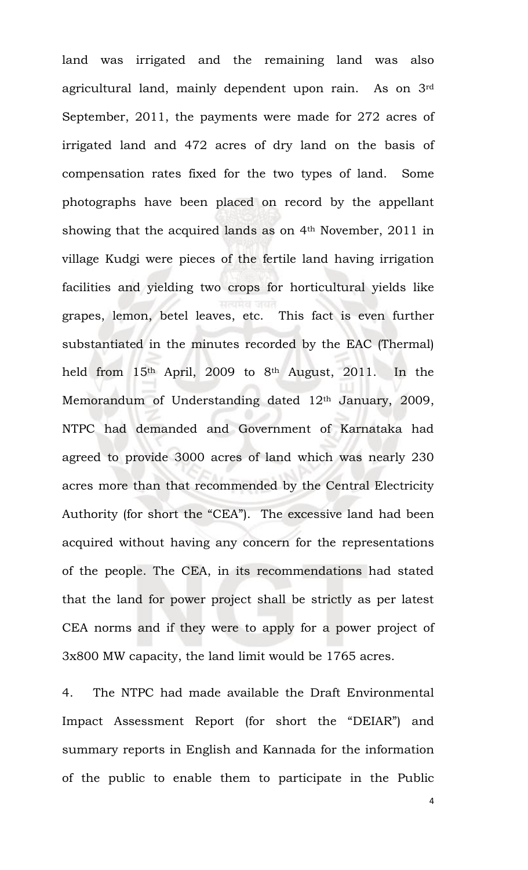land was irrigated and the remaining land was also agricultural land, mainly dependent upon rain. As on 3rd September, 2011, the payments were made for 272 acres of irrigated land and 472 acres of dry land on the basis of compensation rates fixed for the two types of land. Some photographs have been placed on record by the appellant showing that the acquired lands as on  $4<sup>th</sup>$  November, 2011 in village Kudgi were pieces of the fertile land having irrigation facilities and yielding two crops for horticultural yields like grapes, lemon, betel leaves, etc. This fact is even further substantiated in the minutes recorded by the EAC (Thermal) held from 15th April, 2009 to 8th August, 2011. In the Memorandum of Understanding dated 12<sup>th</sup> January, 2009, NTPC had demanded and Government of Karnataka had agreed to provide 3000 acres of land which was nearly 230 acres more than that recommended by the Central Electricity Authority (for short the "CEA"). The excessive land had been acquired without having any concern for the representations of the people. The CEA, in its recommendations had stated that the land for power project shall be strictly as per latest CEA norms and if they were to apply for a power project of 3x800 MW capacity, the land limit would be 1765 acres.

4. The NTPC had made available the Draft Environmental Impact Assessment Report (for short the "DEIAR") and summary reports in English and Kannada for the information of the public to enable them to participate in the Public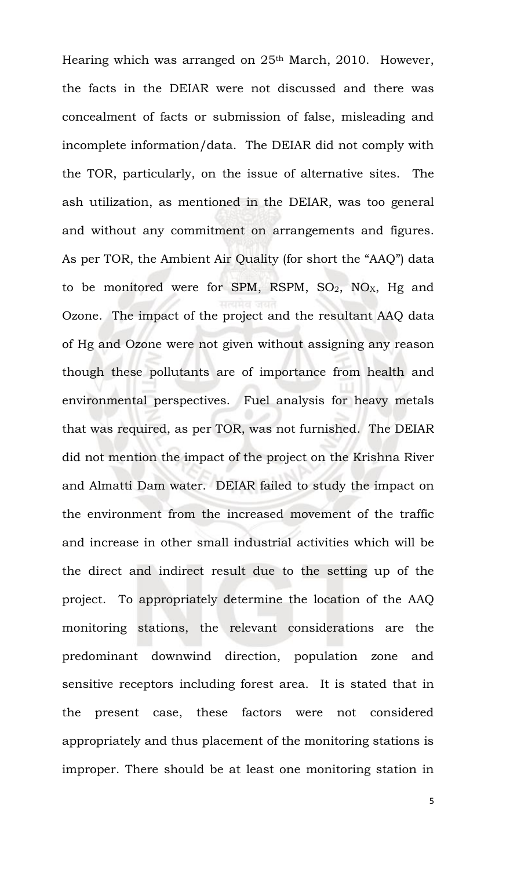Hearing which was arranged on 25<sup>th</sup> March, 2010. However, the facts in the DEIAR were not discussed and there was concealment of facts or submission of false, misleading and incomplete information/data. The DEIAR did not comply with the TOR, particularly, on the issue of alternative sites. The ash utilization, as mentioned in the DEIAR, was too general and without any commitment on arrangements and figures. As per TOR, the Ambient Air Quality (for short the "AAQ") data to be monitored were for SPM, RSPM,  $SO_2$ ,  $NO<sub>X</sub>$ , Hg and Ozone. The impact of the project and the resultant AAQ data of Hg and Ozone were not given without assigning any reason though these pollutants are of importance from health and environmental perspectives. Fuel analysis for heavy metals that was required, as per TOR, was not furnished. The DEIAR did not mention the impact of the project on the Krishna River and Almatti Dam water. DEIAR failed to study the impact on the environment from the increased movement of the traffic and increase in other small industrial activities which will be the direct and indirect result due to the setting up of the project. To appropriately determine the location of the AAQ monitoring stations, the relevant considerations are the predominant downwind direction, population zone and sensitive receptors including forest area. It is stated that in the present case, these factors were not considered appropriately and thus placement of the monitoring stations is improper. There should be at least one monitoring station in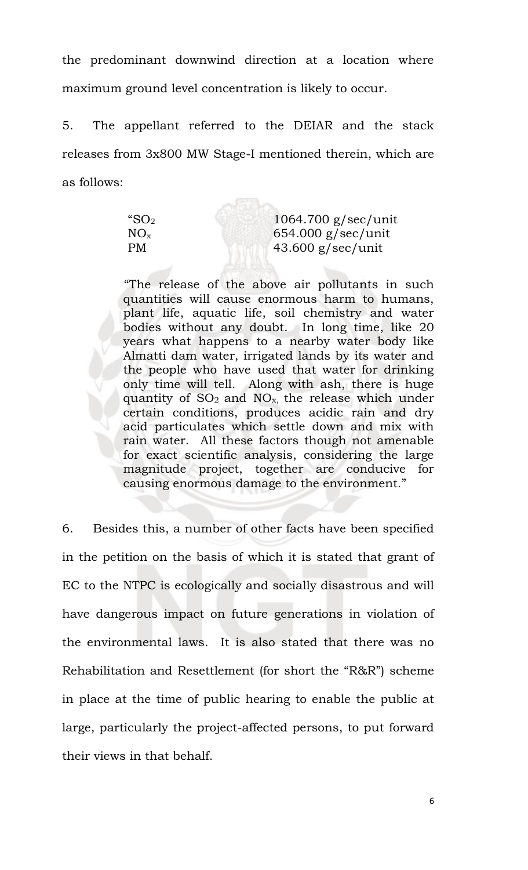the predominant downwind direction at a location where maximum ground level concentration is likely to occur.

5. The appellant referred to the DEIAR and the stack releases from 3x800 MW Stage-I mentioned therein, which are as follows:

 $-5.3 -$ 

| $1064.700$ g/sec/unit |
|-----------------------|
| $654.000$ g/sec/unit  |
| $43.600$ g/sec/unit   |
|                       |

"The release of the above air pollutants in such quantities will cause enormous harm to humans, plant life, aquatic life, soil chemistry and water bodies without any doubt. In long time, like 20 years what happens to a nearby water body like Almatti dam water, irrigated lands by its water and the people who have used that water for drinking only time will tell. Along with ash, there is huge quantity of  $SO_2$  and  $NO_x$ , the release which under certain conditions, produces acidic rain and dry acid particulates which settle down and mix with rain water. All these factors though not amenable for exact scientific analysis, considering the large magnitude project, together are conducive for causing enormous damage to the environment."

6. Besides this, a number of other facts have been specified in the petition on the basis of which it is stated that grant of EC to the NTPC is ecologically and socially disastrous and will have dangerous impact on future generations in violation of the environmental laws. It is also stated that there was no Rehabilitation and Resettlement (for short the "R&R") scheme in place at the time of public hearing to enable the public at large, particularly the project-affected persons, to put forward their views in that behalf.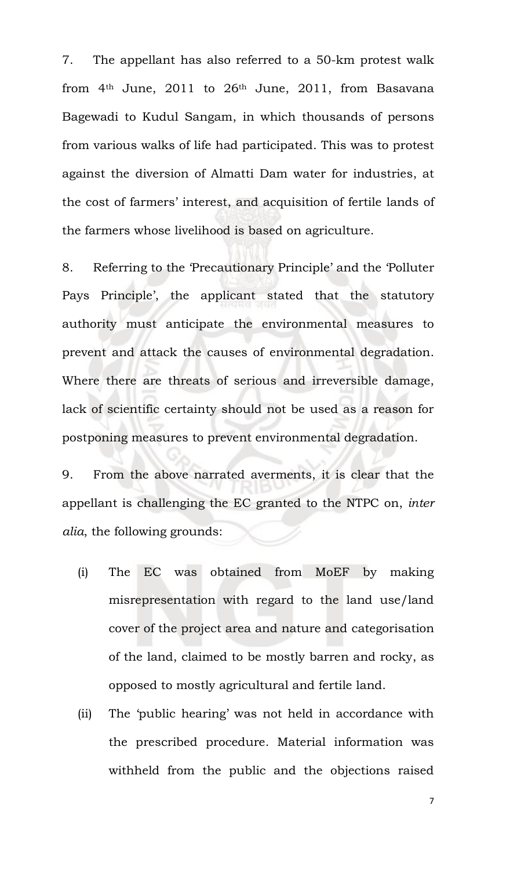7. The appellant has also referred to a 50-km protest walk from  $4<sup>th</sup>$  June, 2011 to  $26<sup>th</sup>$  June, 2011, from Basavana Bagewadi to Kudul Sangam, in which thousands of persons from various walks of life had participated. This was to protest against the diversion of Almatti Dam water for industries, at the cost of farmers' interest, and acquisition of fertile lands of the farmers whose livelihood is based on agriculture.

8. Referring to the 'Precautionary Principle' and the 'Polluter Pays Principle', the applicant stated that the statutory authority must anticipate the environmental measures to prevent and attack the causes of environmental degradation. Where there are threats of serious and irreversible damage, lack of scientific certainty should not be used as a reason for postponing measures to prevent environmental degradation.

9. From the above narrated averments, it is clear that the appellant is challenging the EC granted to the NTPC on, *inter alia*, the following grounds:

- (i) The EC was obtained from MoEF by making misrepresentation with regard to the land use/land cover of the project area and nature and categorisation of the land, claimed to be mostly barren and rocky, as opposed to mostly agricultural and fertile land.
- (ii) The 'public hearing' was not held in accordance with the prescribed procedure. Material information was withheld from the public and the objections raised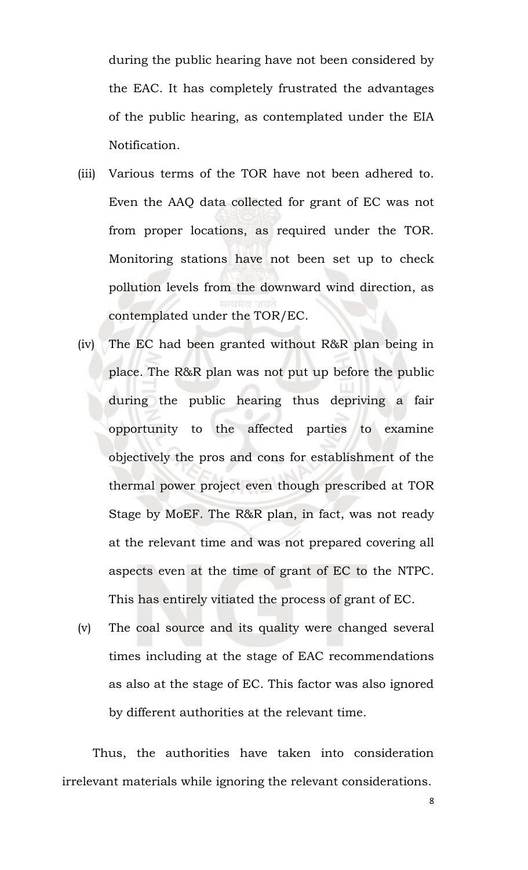during the public hearing have not been considered by the EAC. It has completely frustrated the advantages of the public hearing, as contemplated under the EIA Notification.

- (iii) Various terms of the TOR have not been adhered to. Even the AAQ data collected for grant of EC was not from proper locations, as required under the TOR. Monitoring stations have not been set up to check pollution levels from the downward wind direction, as contemplated under the TOR/EC.
- (iv) The EC had been granted without R&R plan being in place. The R&R plan was not put up before the public during the public hearing thus depriving a fair opportunity to the affected parties to examine objectively the pros and cons for establishment of the thermal power project even though prescribed at TOR Stage by MoEF. The R&R plan, in fact, was not ready at the relevant time and was not prepared covering all aspects even at the time of grant of EC to the NTPC. This has entirely vitiated the process of grant of EC.
- (v) The coal source and its quality were changed several times including at the stage of EAC recommendations as also at the stage of EC. This factor was also ignored by different authorities at the relevant time.

Thus, the authorities have taken into consideration irrelevant materials while ignoring the relevant considerations.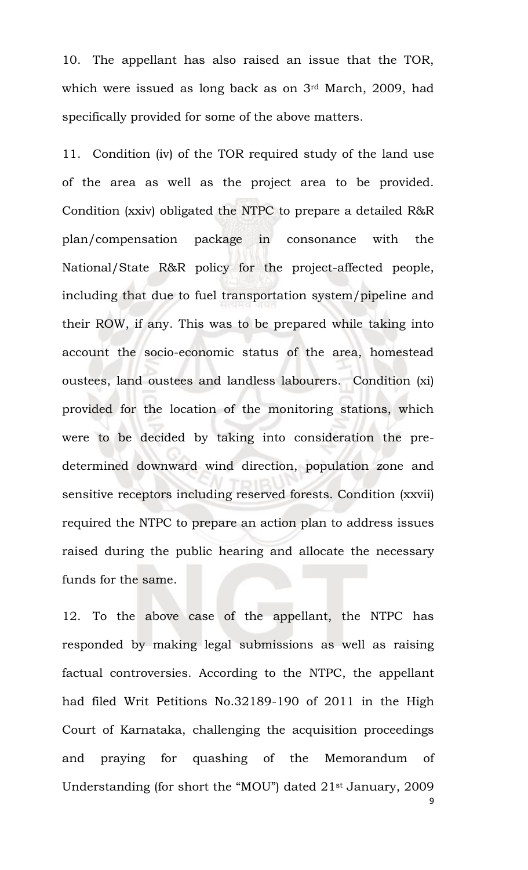10. The appellant has also raised an issue that the TOR, which were issued as long back as on 3rd March, 2009, had specifically provided for some of the above matters.

11. Condition (iv) of the TOR required study of the land use of the area as well as the project area to be provided. Condition (xxiv) obligated the NTPC to prepare a detailed R&R plan/compensation package in consonance with the National/State R&R policy for the project-affected people, including that due to fuel transportation system/pipeline and their ROW, if any. This was to be prepared while taking into account the socio-economic status of the area, homestead oustees, land oustees and landless labourers. Condition (xi) provided for the location of the monitoring stations, which were to be decided by taking into consideration the predetermined downward wind direction, population zone and sensitive receptors including reserved forests. Condition (xxvii) required the NTPC to prepare an action plan to address issues raised during the public hearing and allocate the necessary funds for the same.

12. To the above case of the appellant, the NTPC has responded by making legal submissions as well as raising factual controversies. According to the NTPC, the appellant had filed Writ Petitions No.32189-190 of 2011 in the High Court of Karnataka, challenging the acquisition proceedings and praying for quashing of the Memorandum of Understanding (for short the "MOU") dated 21st January, 2009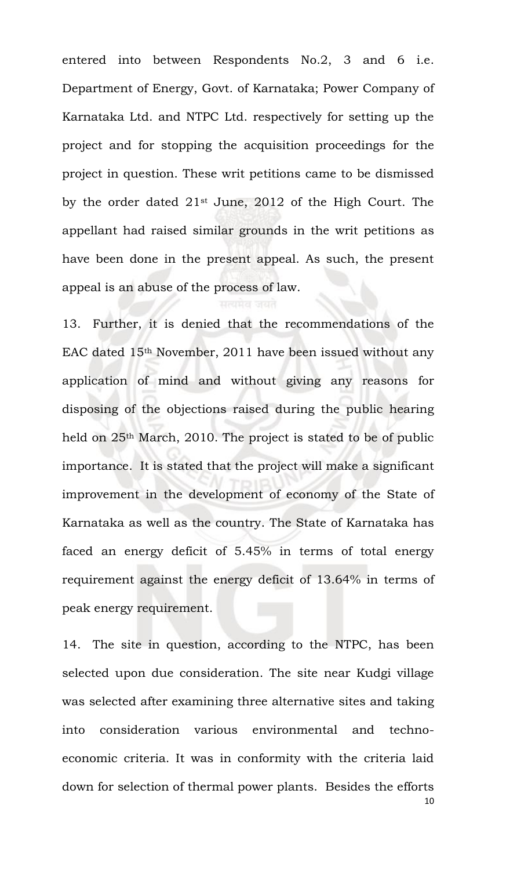entered into between Respondents No.2, 3 and 6 i.e. Department of Energy, Govt. of Karnataka; Power Company of Karnataka Ltd. and NTPC Ltd. respectively for setting up the project and for stopping the acquisition proceedings for the project in question. These writ petitions came to be dismissed by the order dated 21st June, 2012 of the High Court. The appellant had raised similar grounds in the writ petitions as have been done in the present appeal. As such, the present appeal is an abuse of the process of law.

13. Further, it is denied that the recommendations of the EAC dated 15th November, 2011 have been issued without any application of mind and without giving any reasons for disposing of the objections raised during the public hearing held on 25<sup>th</sup> March, 2010. The project is stated to be of public importance. It is stated that the project will make a significant improvement in the development of economy of the State of Karnataka as well as the country. The State of Karnataka has faced an energy deficit of 5.45% in terms of total energy requirement against the energy deficit of 13.64% in terms of peak energy requirement.

10 14. The site in question, according to the NTPC, has been selected upon due consideration. The site near Kudgi village was selected after examining three alternative sites and taking into consideration various environmental and technoeconomic criteria. It was in conformity with the criteria laid down for selection of thermal power plants. Besides the efforts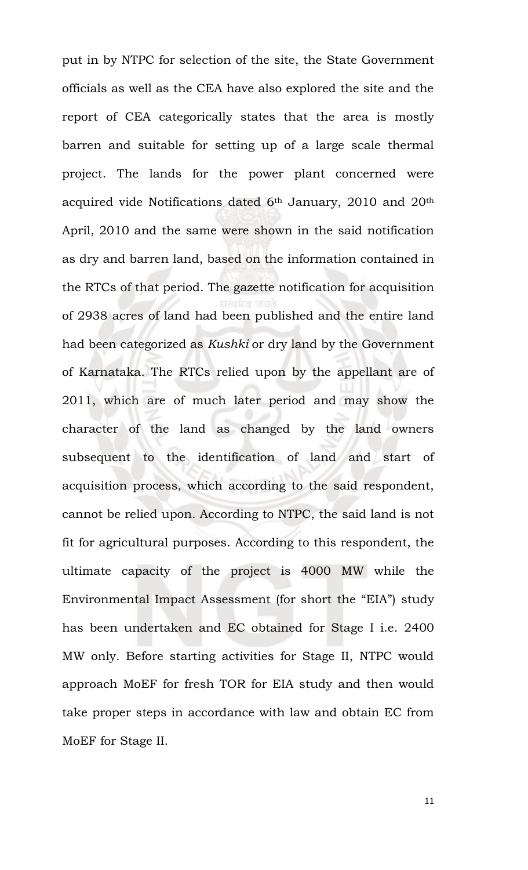put in by NTPC for selection of the site, the State Government officials as well as the CEA have also explored the site and the report of CEA categorically states that the area is mostly barren and suitable for setting up of a large scale thermal project. The lands for the power plant concerned were acquired vide Notifications dated 6<sup>th</sup> January, 2010 and 20<sup>th</sup> April, 2010 and the same were shown in the said notification as dry and barren land, based on the information contained in the RTCs of that period. The gazette notification for acquisition of 2938 acres of land had been published and the entire land had been categorized as *Kushki* or dry land by the Government of Karnataka. The RTCs relied upon by the appellant are of 2011, which are of much later period and may show the character of the land as changed by the land owners subsequent to the identification of land and start of acquisition process, which according to the said respondent, cannot be relied upon. According to NTPC, the said land is not fit for agricultural purposes. According to this respondent, the ultimate capacity of the project is 4000 MW while the Environmental Impact Assessment (for short the "EIA") study has been undertaken and EC obtained for Stage I i.e. 2400 MW only. Before starting activities for Stage II, NTPC would approach MoEF for fresh TOR for EIA study and then would take proper steps in accordance with law and obtain EC from MoEF for Stage II.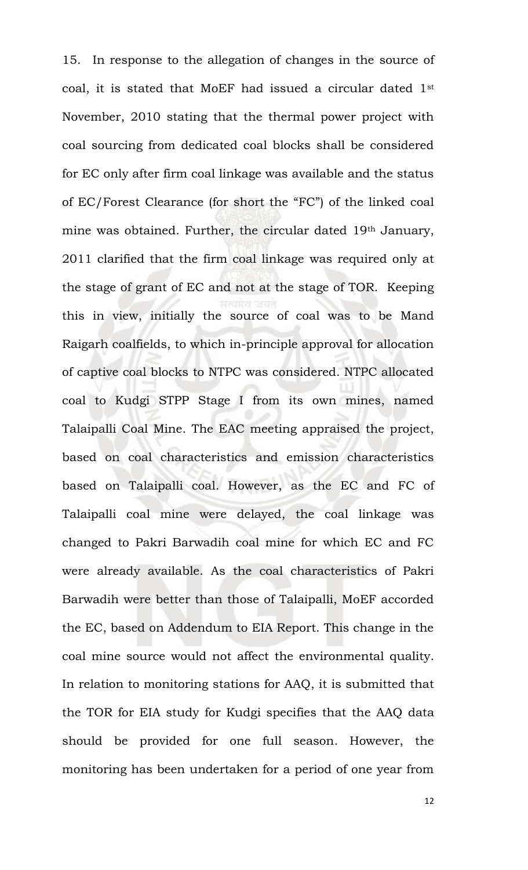15. In response to the allegation of changes in the source of coal, it is stated that MoEF had issued a circular dated 1st November, 2010 stating that the thermal power project with coal sourcing from dedicated coal blocks shall be considered for EC only after firm coal linkage was available and the status of EC/Forest Clearance (for short the "FC") of the linked coal mine was obtained. Further, the circular dated 19th January, 2011 clarified that the firm coal linkage was required only at the stage of grant of EC and not at the stage of TOR. Keeping this in view, initially the source of coal was to be Mand Raigarh coalfields, to which in-principle approval for allocation of captive coal blocks to NTPC was considered. NTPC allocated coal to Kudgi STPP Stage I from its own mines, named Talaipalli Coal Mine. The EAC meeting appraised the project, based on coal characteristics and emission characteristics based on Talaipalli coal. However, as the EC and FC of Talaipalli coal mine were delayed, the coal linkage was changed to Pakri Barwadih coal mine for which EC and FC were already available. As the coal characteristics of Pakri Barwadih were better than those of Talaipalli, MoEF accorded the EC, based on Addendum to EIA Report. This change in the coal mine source would not affect the environmental quality. In relation to monitoring stations for AAQ, it is submitted that the TOR for EIA study for Kudgi specifies that the AAQ data should be provided for one full season. However, the monitoring has been undertaken for a period of one year from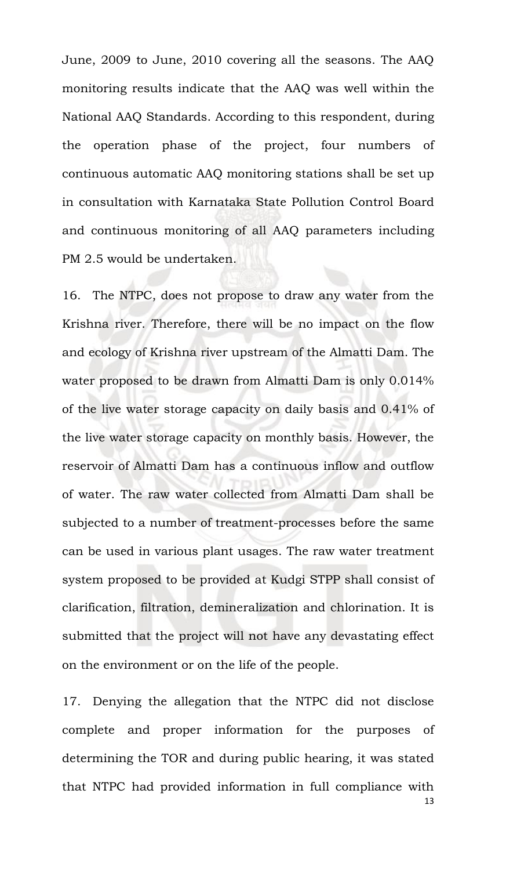June, 2009 to June, 2010 covering all the seasons. The AAQ monitoring results indicate that the AAQ was well within the National AAQ Standards. According to this respondent, during the operation phase of the project, four numbers of continuous automatic AAQ monitoring stations shall be set up in consultation with Karnataka State Pollution Control Board and continuous monitoring of all AAQ parameters including PM 2.5 would be undertaken.

16. The NTPC, does not propose to draw any water from the Krishna river. Therefore, there will be no impact on the flow and ecology of Krishna river upstream of the Almatti Dam. The water proposed to be drawn from Almatti Dam is only 0.014% of the live water storage capacity on daily basis and 0.41% of the live water storage capacity on monthly basis. However, the reservoir of Almatti Dam has a continuous inflow and outflow of water. The raw water collected from Almatti Dam shall be subjected to a number of treatment-processes before the same can be used in various plant usages. The raw water treatment system proposed to be provided at Kudgi STPP shall consist of clarification, filtration, demineralization and chlorination. It is submitted that the project will not have any devastating effect on the environment or on the life of the people.

13 17. Denying the allegation that the NTPC did not disclose complete and proper information for the purposes of determining the TOR and during public hearing, it was stated that NTPC had provided information in full compliance with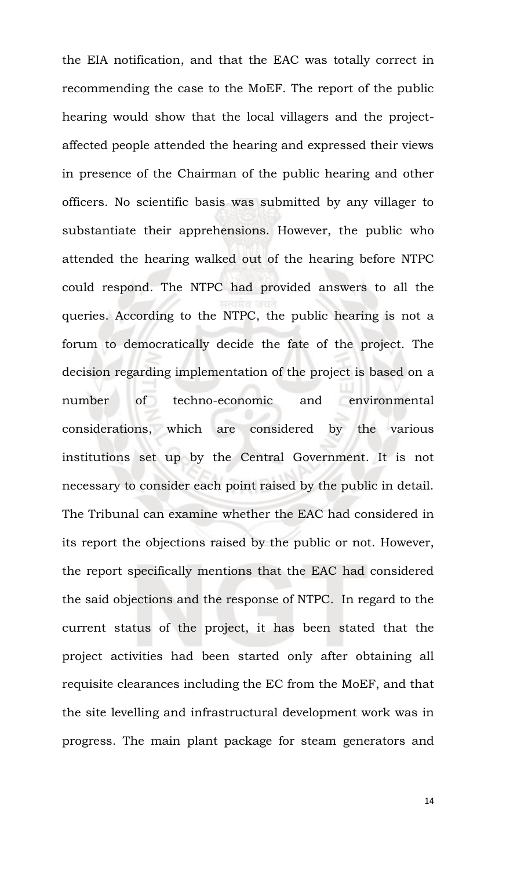the EIA notification, and that the EAC was totally correct in recommending the case to the MoEF. The report of the public hearing would show that the local villagers and the projectaffected people attended the hearing and expressed their views in presence of the Chairman of the public hearing and other officers. No scientific basis was submitted by any villager to substantiate their apprehensions. However, the public who attended the hearing walked out of the hearing before NTPC could respond. The NTPC had provided answers to all the queries. According to the NTPC, the public hearing is not a forum to democratically decide the fate of the project. The decision regarding implementation of the project is based on a number of techno-economic and environmental considerations, which are considered by the various institutions set up by the Central Government. It is not necessary to consider each point raised by the public in detail. The Tribunal can examine whether the EAC had considered in its report the objections raised by the public or not. However, the report specifically mentions that the EAC had considered the said objections and the response of NTPC. In regard to the current status of the project, it has been stated that the project activities had been started only after obtaining all requisite clearances including the EC from the MoEF, and that the site levelling and infrastructural development work was in progress. The main plant package for steam generators and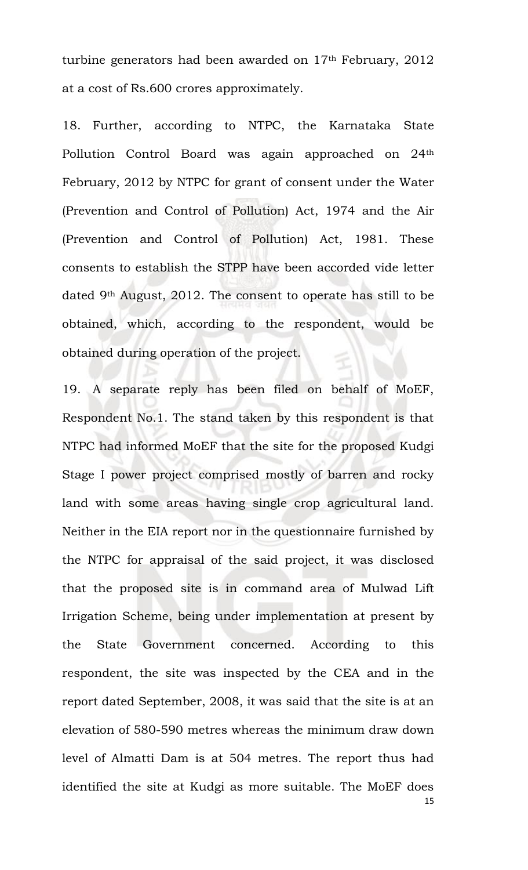turbine generators had been awarded on 17<sup>th</sup> February, 2012 at a cost of Rs.600 crores approximately.

18. Further, according to NTPC, the Karnataka State Pollution Control Board was again approached on 24th February, 2012 by NTPC for grant of consent under the Water (Prevention and Control of Pollution) Act, 1974 and the Air (Prevention and Control of Pollution) Act, 1981. These consents to establish the STPP have been accorded vide letter dated 9th August, 2012. The consent to operate has still to be obtained, which, according to the respondent, would be obtained during operation of the project.

19. A separate reply has been filed on behalf of MoEF, Respondent No.1. The stand taken by this respondent is that NTPC had informed MoEF that the site for the proposed Kudgi Stage I power project comprised mostly of barren and rocky land with some areas having single crop agricultural land. Neither in the EIA report nor in the questionnaire furnished by the NTPC for appraisal of the said project, it was disclosed that the proposed site is in command area of Mulwad Lift Irrigation Scheme, being under implementation at present by the State Government concerned. According to this respondent, the site was inspected by the CEA and in the report dated September, 2008, it was said that the site is at an elevation of 580-590 metres whereas the minimum draw down level of Almatti Dam is at 504 metres. The report thus had identified the site at Kudgi as more suitable. The MoEF does

<sup>15</sup>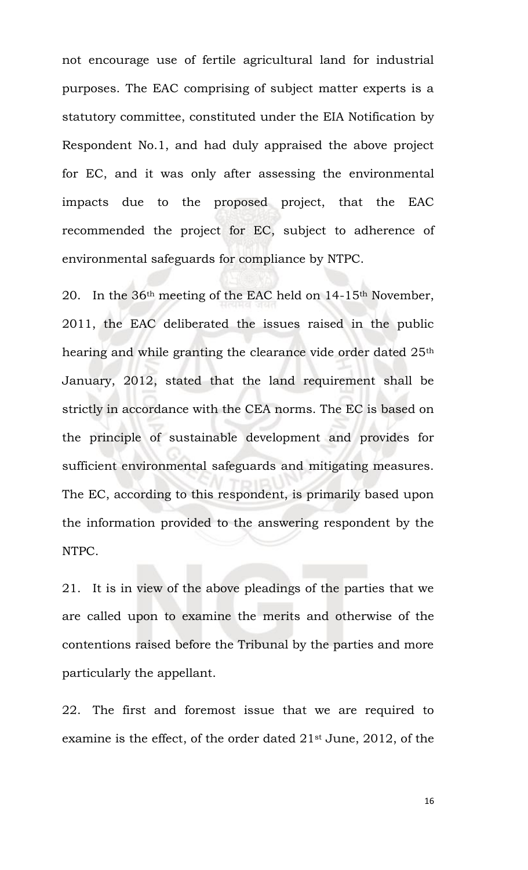not encourage use of fertile agricultural land for industrial purposes. The EAC comprising of subject matter experts is a statutory committee, constituted under the EIA Notification by Respondent No.1, and had duly appraised the above project for EC, and it was only after assessing the environmental impacts due to the proposed project, that the EAC recommended the project for EC, subject to adherence of environmental safeguards for compliance by NTPC.

20. In the 36th meeting of the EAC held on 14-15th November, 2011, the EAC deliberated the issues raised in the public hearing and while granting the clearance vide order dated 25<sup>th</sup> January, 2012, stated that the land requirement shall be strictly in accordance with the CEA norms. The EC is based on the principle of sustainable development and provides for sufficient environmental safeguards and mitigating measures. The EC, according to this respondent, is primarily based upon the information provided to the answering respondent by the NTPC.

21. It is in view of the above pleadings of the parties that we are called upon to examine the merits and otherwise of the contentions raised before the Tribunal by the parties and more particularly the appellant.

22. The first and foremost issue that we are required to examine is the effect, of the order dated 21st June, 2012, of the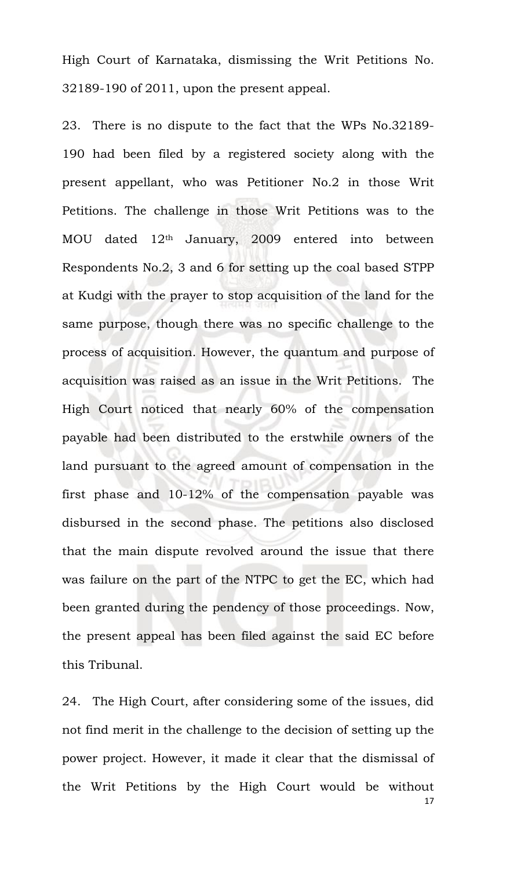High Court of Karnataka, dismissing the Writ Petitions No. 32189-190 of 2011, upon the present appeal.

23. There is no dispute to the fact that the WPs No.32189- 190 had been filed by a registered society along with the present appellant, who was Petitioner No.2 in those Writ Petitions. The challenge in those Writ Petitions was to the MOU dated 12th January, 2009 entered into between Respondents No.2, 3 and 6 for setting up the coal based STPP at Kudgi with the prayer to stop acquisition of the land for the same purpose, though there was no specific challenge to the process of acquisition. However, the quantum and purpose of acquisition was raised as an issue in the Writ Petitions. The High Court noticed that nearly 60% of the compensation payable had been distributed to the erstwhile owners of the land pursuant to the agreed amount of compensation in the first phase and 10-12% of the compensation payable was disbursed in the second phase. The petitions also disclosed that the main dispute revolved around the issue that there was failure on the part of the NTPC to get the EC, which had been granted during the pendency of those proceedings. Now, the present appeal has been filed against the said EC before this Tribunal.

17 24. The High Court, after considering some of the issues, did not find merit in the challenge to the decision of setting up the power project. However, it made it clear that the dismissal of the Writ Petitions by the High Court would be without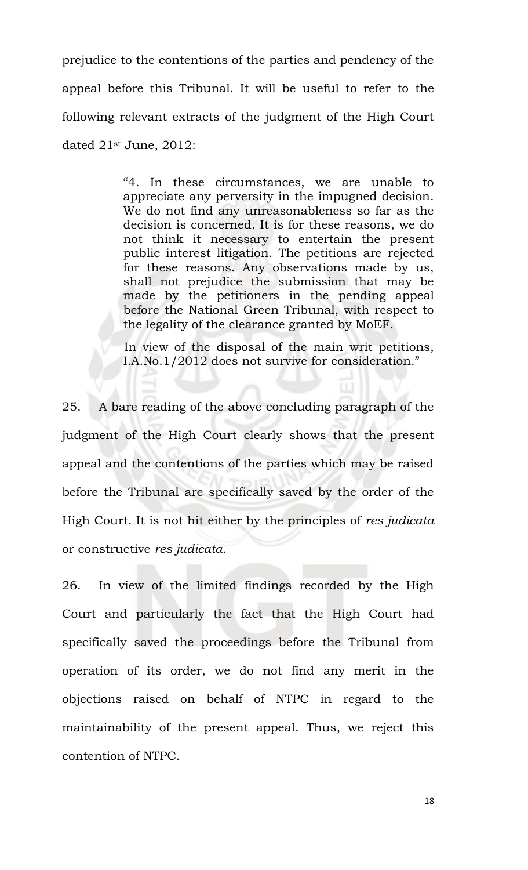prejudice to the contentions of the parties and pendency of the appeal before this Tribunal. It will be useful to refer to the following relevant extracts of the judgment of the High Court dated 21st June, 2012:

> "4. In these circumstances, we are unable to appreciate any perversity in the impugned decision. We do not find any unreasonableness so far as the decision is concerned. It is for these reasons, we do not think it necessary to entertain the present public interest litigation. The petitions are rejected for these reasons. Any observations made by us, shall not prejudice the submission that may be made by the petitioners in the pending appeal before the National Green Tribunal, with respect to the legality of the clearance granted by MoEF.

> In view of the disposal of the main writ petitions, I.A.No.1/2012 does not survive for consideration."

25. A bare reading of the above concluding paragraph of the judgment of the High Court clearly shows that the present appeal and the contentions of the parties which may be raised before the Tribunal are specifically saved by the order of the High Court. It is not hit either by the principles of *res judicata* or constructive *res judicata*.

26. In view of the limited findings recorded by the High Court and particularly the fact that the High Court had specifically saved the proceedings before the Tribunal from operation of its order, we do not find any merit in the objections raised on behalf of NTPC in regard to the maintainability of the present appeal. Thus, we reject this contention of NTPC.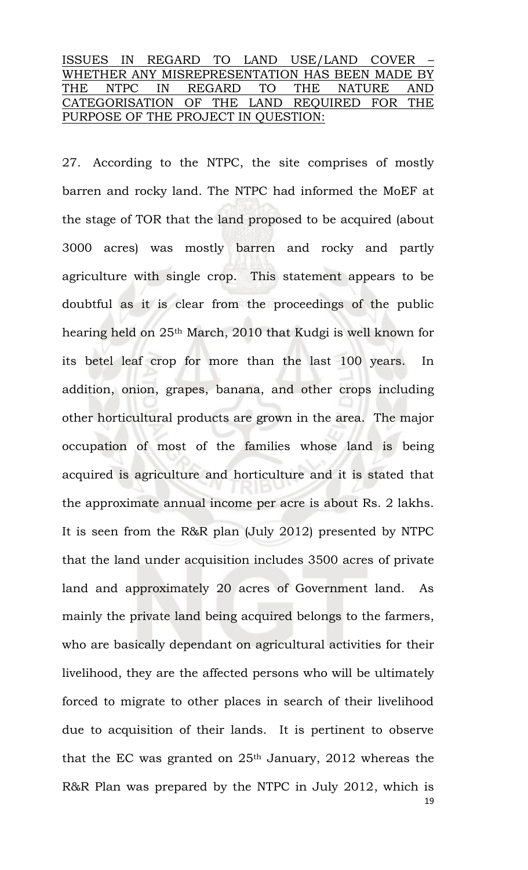## ISSUES IN REGARD TO LAND USE/LAND COVER – WHETHER ANY MISREPRESENTATION HAS BEEN MADE BY THE NTPC IN REGARD TO THE NATURE AND CATEGORISATION OF THE LAND REQUIRED FOR THE PURPOSE OF THE PROJECT IN QUESTION:

19 27. According to the NTPC, the site comprises of mostly barren and rocky land. The NTPC had informed the MoEF at the stage of TOR that the land proposed to be acquired (about 3000 acres) was mostly barren and rocky and partly agriculture with single crop. This statement appears to be doubtful as it is clear from the proceedings of the public hearing held on 25th March, 2010 that Kudgi is well known for its betel leaf crop for more than the last 100 years. In addition, onion, grapes, banana, and other crops including other horticultural products are grown in the area. The major occupation of most of the families whose land is being acquired is agriculture and horticulture and it is stated that the approximate annual income per acre is about Rs. 2 lakhs. It is seen from the R&R plan (July 2012) presented by NTPC that the land under acquisition includes 3500 acres of private land and approximately 20 acres of Government land. As mainly the private land being acquired belongs to the farmers, who are basically dependant on agricultural activities for their livelihood, they are the affected persons who will be ultimately forced to migrate to other places in search of their livelihood due to acquisition of their lands. It is pertinent to observe that the EC was granted on  $25<sup>th</sup>$  January,  $2012$  whereas the R&R Plan was prepared by the NTPC in July 2012, which is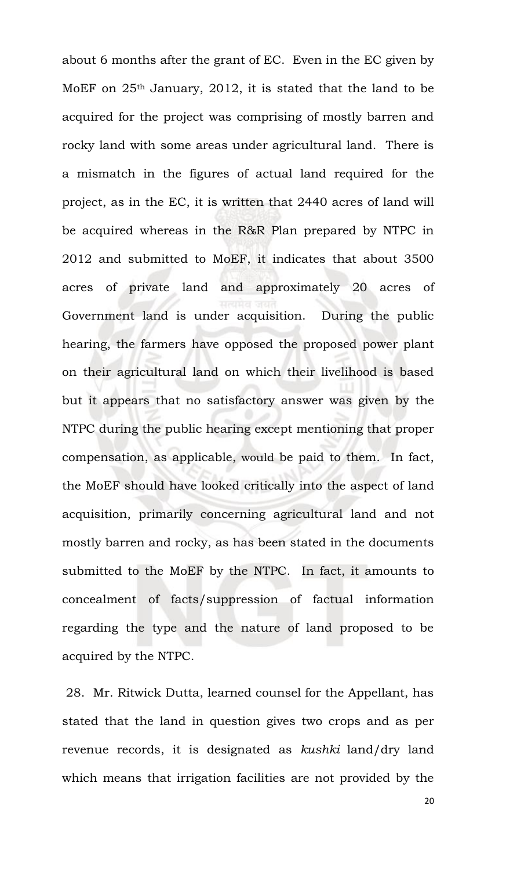about 6 months after the grant of EC. Even in the EC given by MoEF on 25th January, 2012, it is stated that the land to be acquired for the project was comprising of mostly barren and rocky land with some areas under agricultural land. There is a mismatch in the figures of actual land required for the project, as in the EC, it is written that 2440 acres of land will be acquired whereas in the R&R Plan prepared by NTPC in 2012 and submitted to MoEF, it indicates that about 3500 acres of private land and approximately 20 acres of Government land is under acquisition. During the public hearing, the farmers have opposed the proposed power plant on their agricultural land on which their livelihood is based but it appears that no satisfactory answer was given by the NTPC during the public hearing except mentioning that proper compensation, as applicable, would be paid to them. In fact, the MoEF should have looked critically into the aspect of land acquisition, primarily concerning agricultural land and not mostly barren and rocky, as has been stated in the documents submitted to the MoEF by the NTPC. In fact, it amounts to concealment of facts/suppression of factual information regarding the type and the nature of land proposed to be acquired by the NTPC.

28. Mr. Ritwick Dutta, learned counsel for the Appellant, has stated that the land in question gives two crops and as per revenue records, it is designated as *kushki* land/dry land which means that irrigation facilities are not provided by the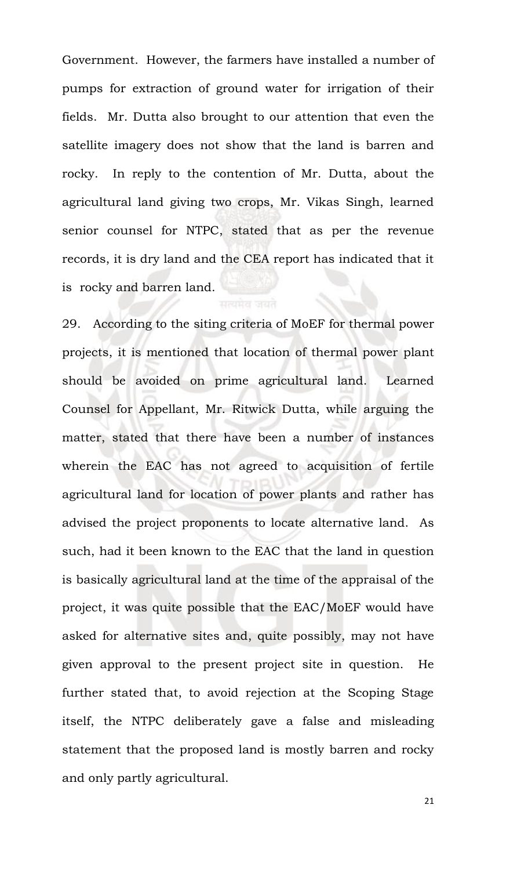Government. However, the farmers have installed a number of pumps for extraction of ground water for irrigation of their fields. Mr. Dutta also brought to our attention that even the satellite imagery does not show that the land is barren and rocky. In reply to the contention of Mr. Dutta, about the agricultural land giving two crops, Mr. Vikas Singh, learned senior counsel for NTPC, stated that as per the revenue records, it is dry land and the CEA report has indicated that it is rocky and barren land.

29. According to the siting criteria of MoEF for thermal power projects, it is mentioned that location of thermal power plant should be avoided on prime agricultural land. Learned Counsel for Appellant, Mr. Ritwick Dutta, while arguing the matter, stated that there have been a number of instances wherein the EAC has not agreed to acquisition of fertile agricultural land for location of power plants and rather has advised the project proponents to locate alternative land. As such, had it been known to the EAC that the land in question is basically agricultural land at the time of the appraisal of the project, it was quite possible that the EAC/MoEF would have asked for alternative sites and, quite possibly, may not have given approval to the present project site in question. He further stated that, to avoid rejection at the Scoping Stage itself, the NTPC deliberately gave a false and misleading statement that the proposed land is mostly barren and rocky and only partly agricultural.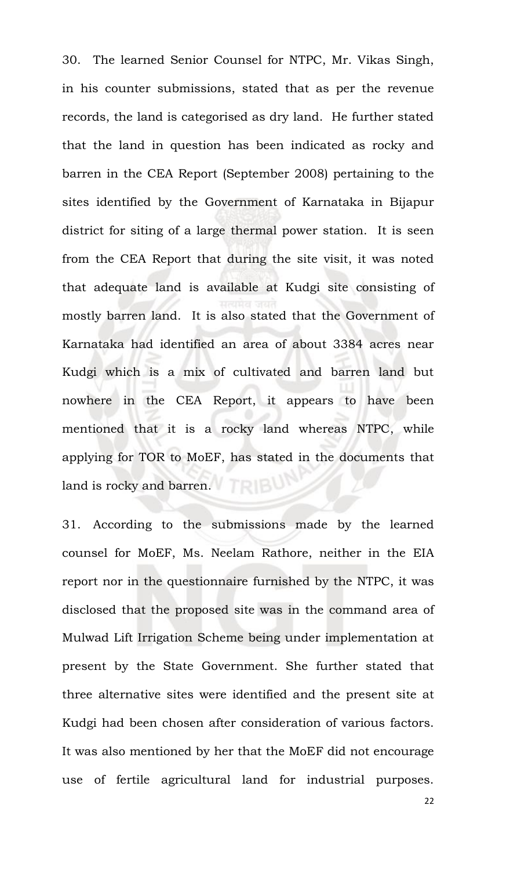30. The learned Senior Counsel for NTPC, Mr. Vikas Singh, in his counter submissions, stated that as per the revenue records, the land is categorised as dry land. He further stated that the land in question has been indicated as rocky and barren in the CEA Report (September 2008) pertaining to the sites identified by the Government of Karnataka in Bijapur district for siting of a large thermal power station. It is seen from the CEA Report that during the site visit, it was noted that adequate land is available at Kudgi site consisting of mostly barren land. It is also stated that the Government of Karnataka had identified an area of about 3384 acres near Kudgi which is a mix of cultivated and barren land but nowhere in the CEA Report, it appears to have been mentioned that it is a rocky land whereas NTPC, while applying for TOR to MoEF, has stated in the documents that land is rocky and barren.

31. According to the submissions made by the learned counsel for MoEF, Ms. Neelam Rathore, neither in the EIA report nor in the questionnaire furnished by the NTPC, it was disclosed that the proposed site was in the command area of Mulwad Lift Irrigation Scheme being under implementation at present by the State Government. She further stated that three alternative sites were identified and the present site at Kudgi had been chosen after consideration of various factors. It was also mentioned by her that the MoEF did not encourage use of fertile agricultural land for industrial purposes.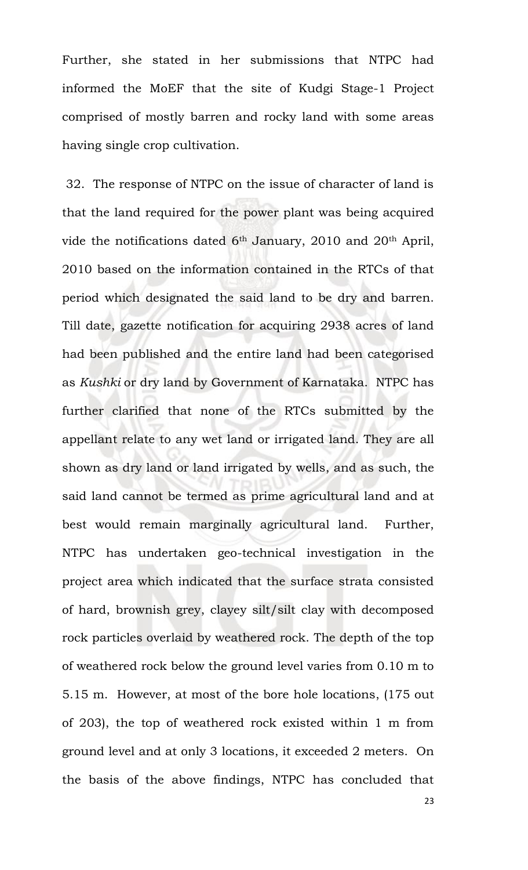Further, she stated in her submissions that NTPC had informed the MoEF that the site of Kudgi Stage-1 Project comprised of mostly barren and rocky land with some areas having single crop cultivation.

32. The response of NTPC on the issue of character of land is that the land required for the power plant was being acquired vide the notifications dated  $6<sup>th</sup>$  January, 2010 and 20<sup>th</sup> April, 2010 based on the information contained in the RTCs of that period which designated the said land to be dry and barren. Till date, gazette notification for acquiring 2938 acres of land had been published and the entire land had been categorised as *Kushki* or dry land by Government of Karnataka. NTPC has further clarified that none of the RTCs submitted by the appellant relate to any wet land or irrigated land. They are all shown as dry land or land irrigated by wells, and as such, the said land cannot be termed as prime agricultural land and at best would remain marginally agricultural land. Further, NTPC has undertaken geo-technical investigation in the project area which indicated that the surface strata consisted of hard, brownish grey, clayey silt/silt clay with decomposed rock particles overlaid by weathered rock. The depth of the top of weathered rock below the ground level varies from 0.10 m to 5.15 m. However, at most of the bore hole locations, (175 out of 203), the top of weathered rock existed within 1 m from ground level and at only 3 locations, it exceeded 2 meters. On the basis of the above findings, NTPC has concluded that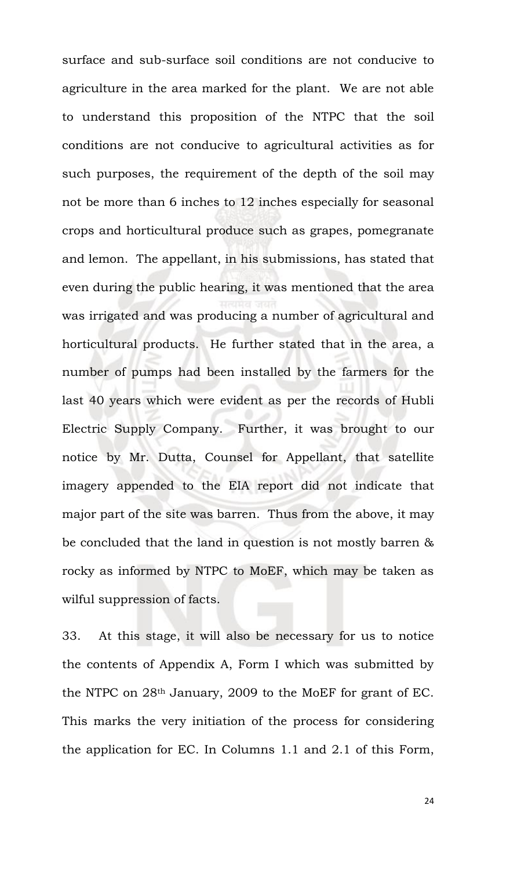surface and sub-surface soil conditions are not conducive to agriculture in the area marked for the plant. We are not able to understand this proposition of the NTPC that the soil conditions are not conducive to agricultural activities as for such purposes, the requirement of the depth of the soil may not be more than 6 inches to 12 inches especially for seasonal crops and horticultural produce such as grapes, pomegranate and lemon. The appellant, in his submissions, has stated that even during the public hearing, it was mentioned that the area was irrigated and was producing a number of agricultural and horticultural products. He further stated that in the area, a number of pumps had been installed by the farmers for the last 40 years which were evident as per the records of Hubli Electric Supply Company. Further, it was brought to our notice by Mr. Dutta, Counsel for Appellant, that satellite imagery appended to the EIA report did not indicate that major part of the site was barren. Thus from the above, it may be concluded that the land in question is not mostly barren & rocky as informed by NTPC to MoEF, which may be taken as wilful suppression of facts.

33. At this stage, it will also be necessary for us to notice the contents of Appendix A, Form I which was submitted by the NTPC on 28th January, 2009 to the MoEF for grant of EC. This marks the very initiation of the process for considering the application for EC. In Columns 1.1 and 2.1 of this Form,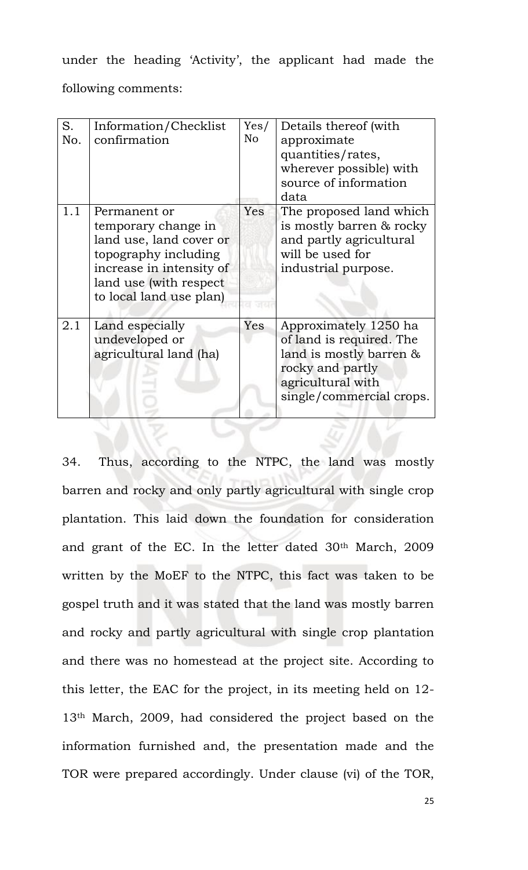under the heading 'Activity', the applicant had made the following comments:

| S.<br>No. | Information/Checklist<br>confirmation                                                                                                                                    | Yes/<br>N <sub>o</sub> | Details thereof (with<br>approximate<br>quantities/rates,<br>wherever possible) with<br>source of information<br>data                             |
|-----------|--------------------------------------------------------------------------------------------------------------------------------------------------------------------------|------------------------|---------------------------------------------------------------------------------------------------------------------------------------------------|
| 1.1       | Permanent or<br>temporary change in<br>land use, land cover or<br>topography including<br>increase in intensity of<br>land use (with respect)<br>to local land use plan) | Yes                    | The proposed land which<br>is mostly barren & rocky<br>and partly agricultural<br>will be used for<br>industrial purpose.                         |
| 2.1       | Land especially<br>undeveloped or<br>agricultural land (ha)                                                                                                              | Yes                    | Approximately 1250 ha<br>of land is required. The<br>land is mostly barren &<br>rocky and partly<br>agricultural with<br>single/commercial crops. |

34. Thus, according to the NTPC, the land was mostly barren and rocky and only partly agricultural with single crop plantation. This laid down the foundation for consideration and grant of the EC. In the letter dated 30th March, 2009 written by the MoEF to the NTPC, this fact was taken to be gospel truth and it was stated that the land was mostly barren and rocky and partly agricultural with single crop plantation and there was no homestead at the project site. According to this letter, the EAC for the project, in its meeting held on 12- 13th March, 2009, had considered the project based on the information furnished and, the presentation made and the TOR were prepared accordingly. Under clause (vi) of the TOR,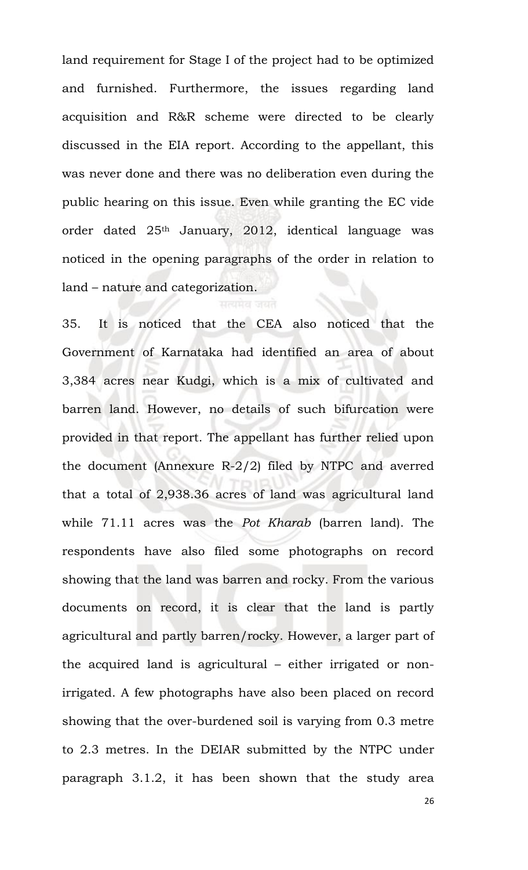land requirement for Stage I of the project had to be optimized and furnished. Furthermore, the issues regarding land acquisition and R&R scheme were directed to be clearly discussed in the EIA report. According to the appellant, this was never done and there was no deliberation even during the public hearing on this issue. Even while granting the EC vide order dated 25th January, 2012, identical language was noticed in the opening paragraphs of the order in relation to land – nature and categorization.

35. It is noticed that the CEA also noticed that the Government of Karnataka had identified an area of about 3,384 acres near Kudgi, which is a mix of cultivated and barren land. However, no details of such bifurcation were provided in that report. The appellant has further relied upon the document (Annexure R-2/2) filed by NTPC and averred that a total of 2,938.36 acres of land was agricultural land while 71.11 acres was the *Pot Kharab* (barren land). The respondents have also filed some photographs on record showing that the land was barren and rocky. From the various documents on record, it is clear that the land is partly agricultural and partly barren/rocky. However, a larger part of the acquired land is agricultural – either irrigated or nonirrigated. A few photographs have also been placed on record showing that the over-burdened soil is varying from 0.3 metre to 2.3 metres. In the DEIAR submitted by the NTPC under paragraph 3.1.2, it has been shown that the study area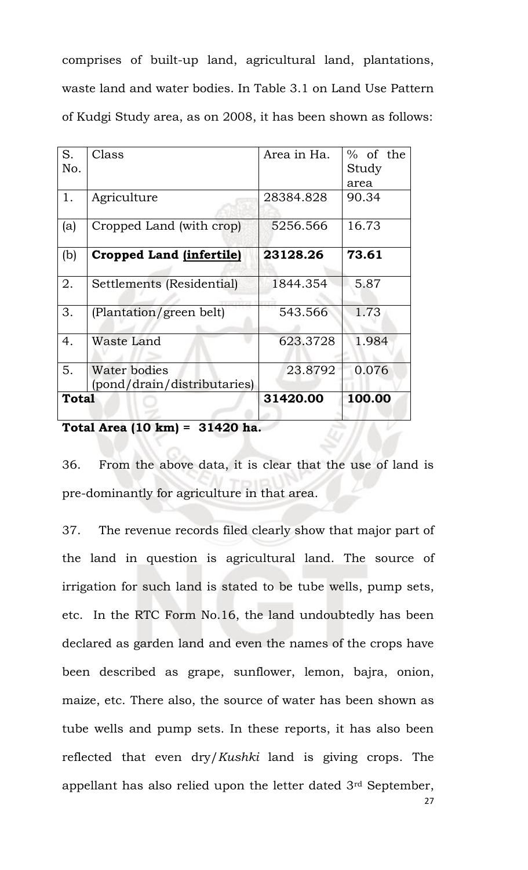comprises of built-up land, agricultural land, plantations, waste land and water bodies. In Table 3.1 on Land Use Pattern of Kudgi Study area, as on 2008, it has been shown as follows:

| 5.        | Water bodies<br>(pond/drain/distributaries) | 23.8792     | 0.076                       |
|-----------|---------------------------------------------|-------------|-----------------------------|
| 4.        | Waste Land                                  | 623.3728    | 1.984                       |
| 3.        | (Plantation/green belt)                     | 543.566     | 1.73                        |
| 2.        | Settlements (Residential)                   | 1844.354    | 5.87                        |
| (b)       | <b>Cropped Land (infertile)</b>             | 23128.26    | 73.61                       |
| (a)       | Cropped Land (with crop)                    | 5256.566    | 16.73                       |
| 1.        | Agriculture                                 | 28384.828   | 90.34                       |
| S.<br>No. | Class                                       | Area in Ha. | $%$ of the<br>Study<br>area |

**Total Area (10 km) = 31420 ha.**

36. From the above data, it is clear that the use of land is pre-dominantly for agriculture in that area.

37. The revenue records filed clearly show that major part of the land in question is agricultural land. The source of irrigation for such land is stated to be tube wells, pump sets, etc. In the RTC Form No.16, the land undoubtedly has been declared as garden land and even the names of the crops have been described as grape, sunflower, lemon, bajra, onion, maize, etc. There also, the source of water has been shown as tube wells and pump sets. In these reports, it has also been reflected that even dry/*Kushki* land is giving crops. The appellant has also relied upon the letter dated 3rd September,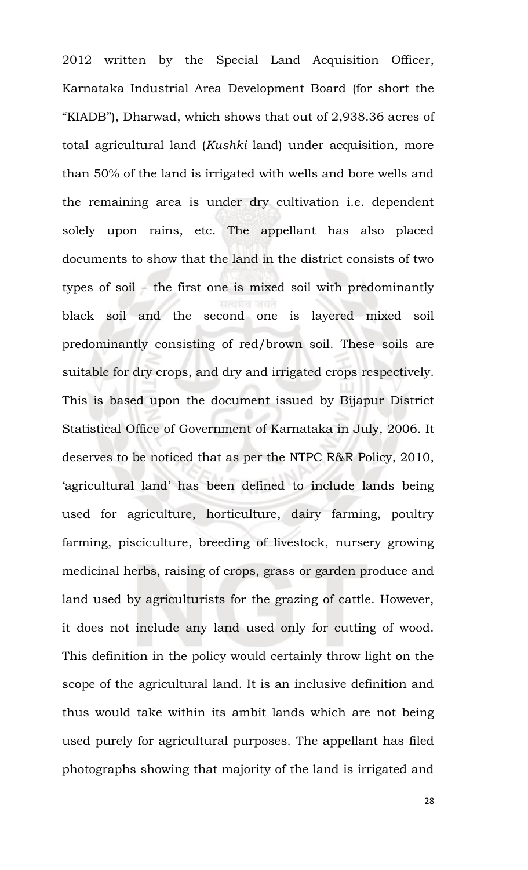2012 written by the Special Land Acquisition Officer, Karnataka Industrial Area Development Board (for short the "KIADB"), Dharwad, which shows that out of 2,938.36 acres of total agricultural land (*Kushki* land) under acquisition, more than 50% of the land is irrigated with wells and bore wells and the remaining area is under dry cultivation i.e. dependent solely upon rains, etc. The appellant has also placed documents to show that the land in the district consists of two types of soil – the first one is mixed soil with predominantly black soil and the second one is layered mixed soil predominantly consisting of red/brown soil. These soils are suitable for dry crops, and dry and irrigated crops respectively. This is based upon the document issued by Bijapur District Statistical Office of Government of Karnataka in July, 2006. It deserves to be noticed that as per the NTPC R&R Policy, 2010, 'agricultural land' has been defined to include lands being used for agriculture, horticulture, dairy farming, poultry farming, pisciculture, breeding of livestock, nursery growing medicinal herbs, raising of crops, grass or garden produce and land used by agriculturists for the grazing of cattle. However, it does not include any land used only for cutting of wood. This definition in the policy would certainly throw light on the scope of the agricultural land. It is an inclusive definition and thus would take within its ambit lands which are not being used purely for agricultural purposes. The appellant has filed photographs showing that majority of the land is irrigated and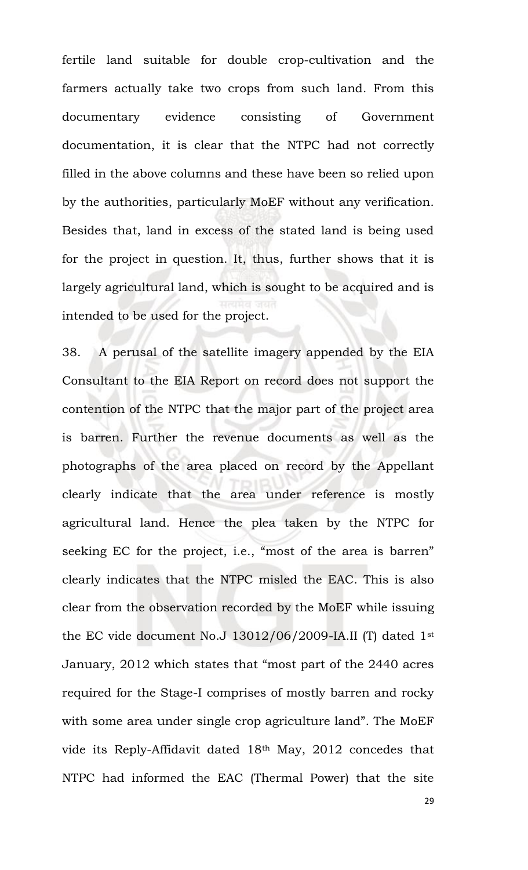fertile land suitable for double crop-cultivation and the farmers actually take two crops from such land. From this documentary evidence consisting of Government documentation, it is clear that the NTPC had not correctly filled in the above columns and these have been so relied upon by the authorities, particularly MoEF without any verification. Besides that, land in excess of the stated land is being used for the project in question. It, thus, further shows that it is largely agricultural land, which is sought to be acquired and is intended to be used for the project.

38. A perusal of the satellite imagery appended by the EIA Consultant to the EIA Report on record does not support the contention of the NTPC that the major part of the project area is barren. Further the revenue documents as well as the photographs of the area placed on record by the Appellant clearly indicate that the area under reference is mostly agricultural land. Hence the plea taken by the NTPC for seeking EC for the project, i.e., "most of the area is barren" clearly indicates that the NTPC misled the EAC. This is also clear from the observation recorded by the MoEF while issuing the EC vide document No.J 13012/06/2009-IA.II (T) dated 1st January, 2012 which states that "most part of the 2440 acres required for the Stage-I comprises of mostly barren and rocky with some area under single crop agriculture land". The MoEF vide its Reply-Affidavit dated 18th May, 2012 concedes that NTPC had informed the EAC (Thermal Power) that the site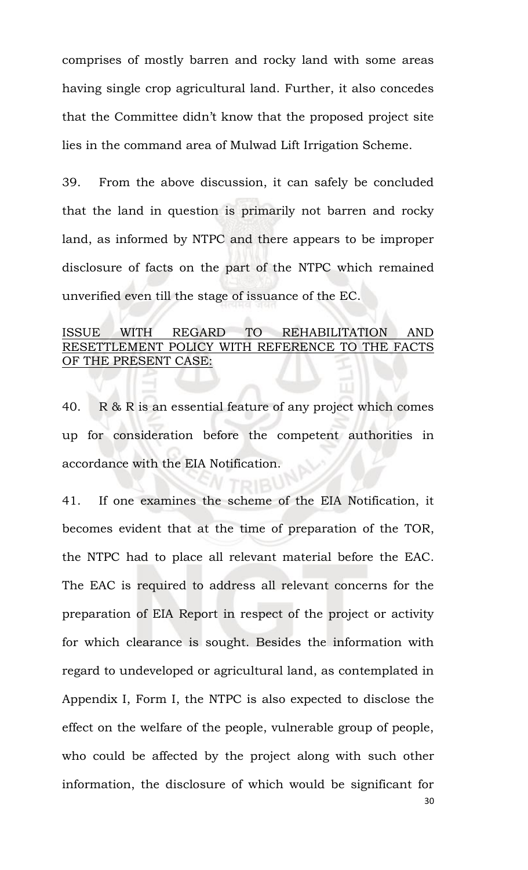comprises of mostly barren and rocky land with some areas having single crop agricultural land. Further, it also concedes that the Committee didn't know that the proposed project site lies in the command area of Mulwad Lift Irrigation Scheme.

39. From the above discussion, it can safely be concluded that the land in question is primarily not barren and rocky land, as informed by NTPC and there appears to be improper disclosure of facts on the part of the NTPC which remained unverified even till the stage of issuance of the EC.

## ISSUE WITH REGARD TO REHABILITATION AND RESETTLEMENT POLICY WITH REFERENCE TO THE FACTS OF THE PRESENT CASE:

40. R & R is an essential feature of any project which comes up for consideration before the competent authorities in accordance with the EIA Notification.

41. If one examines the scheme of the EIA Notification, it becomes evident that at the time of preparation of the TOR, the NTPC had to place all relevant material before the EAC. The EAC is required to address all relevant concerns for the preparation of EIA Report in respect of the project or activity for which clearance is sought. Besides the information with regard to undeveloped or agricultural land, as contemplated in Appendix I, Form I, the NTPC is also expected to disclose the effect on the welfare of the people, vulnerable group of people, who could be affected by the project along with such other information, the disclosure of which would be significant for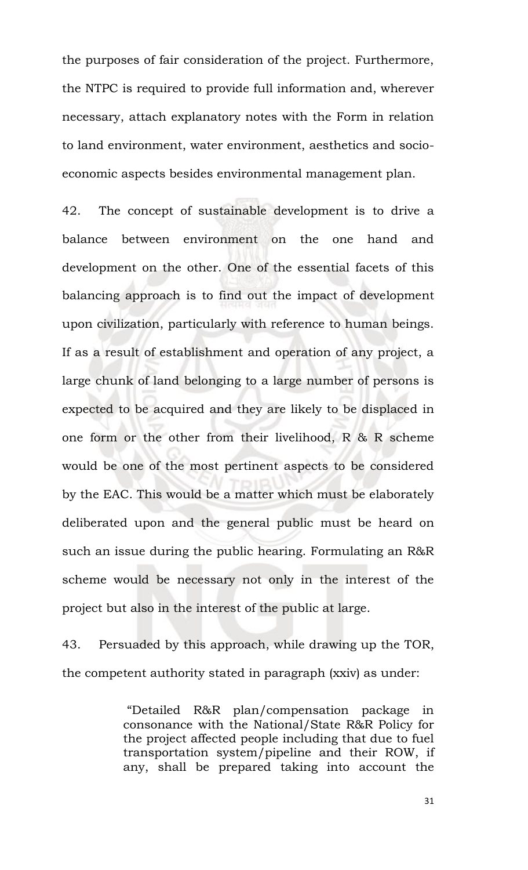the purposes of fair consideration of the project. Furthermore, the NTPC is required to provide full information and, wherever necessary, attach explanatory notes with the Form in relation to land environment, water environment, aesthetics and socioeconomic aspects besides environmental management plan.

42. The concept of sustainable development is to drive a balance between environment on the one hand and development on the other. One of the essential facets of this balancing approach is to find out the impact of development upon civilization, particularly with reference to human beings. If as a result of establishment and operation of any project, a large chunk of land belonging to a large number of persons is expected to be acquired and they are likely to be displaced in one form or the other from their livelihood, R & R scheme would be one of the most pertinent aspects to be considered by the EAC. This would be a matter which must be elaborately deliberated upon and the general public must be heard on such an issue during the public hearing. Formulating an R&R scheme would be necessary not only in the interest of the project but also in the interest of the public at large.

43. Persuaded by this approach, while drawing up the TOR, the competent authority stated in paragraph (xxiv) as under:

> "Detailed R&R plan/compensation package in consonance with the National/State R&R Policy for the project affected people including that due to fuel transportation system/pipeline and their ROW, if any, shall be prepared taking into account the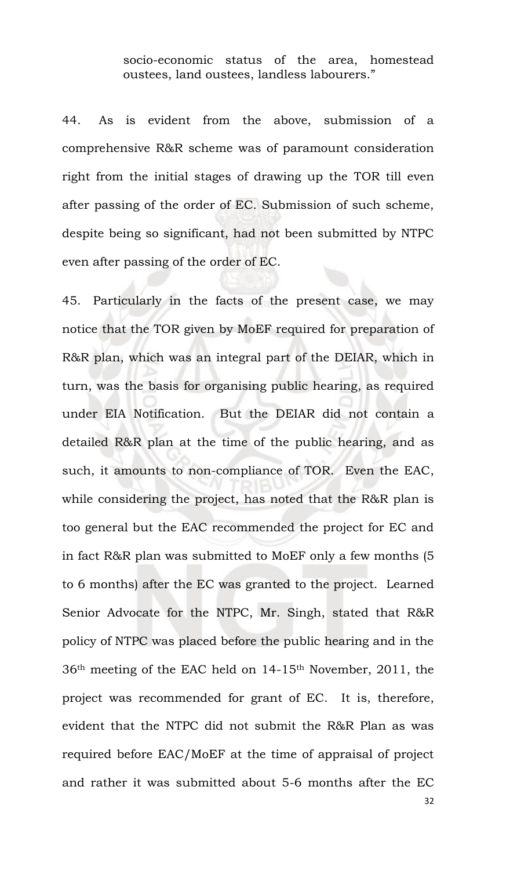socio-economic status of the area, homestead oustees, land oustees, landless labourers."

44. As is evident from the above, submission of a comprehensive R&R scheme was of paramount consideration right from the initial stages of drawing up the TOR till even after passing of the order of EC. Submission of such scheme, despite being so significant, had not been submitted by NTPC even after passing of the order of EC.

45. Particularly in the facts of the present case, we may notice that the TOR given by MoEF required for preparation of R&R plan, which was an integral part of the DEIAR, which in turn, was the basis for organising public hearing, as required under EIA Notification. But the DEIAR did not contain a detailed R&R plan at the time of the public hearing, and as such, it amounts to non-compliance of TOR. Even the EAC, while considering the project, has noted that the R&R plan is too general but the EAC recommended the project for EC and in fact R&R plan was submitted to MoEF only a few months (5 to 6 months) after the EC was granted to the project. Learned Senior Advocate for the NTPC, Mr. Singh, stated that R&R policy of NTPC was placed before the public hearing and in the 36th meeting of the EAC held on 14-15th November, 2011, the project was recommended for grant of EC. It is, therefore, evident that the NTPC did not submit the R&R Plan as was required before EAC/MoEF at the time of appraisal of project and rather it was submitted about 5-6 months after the EC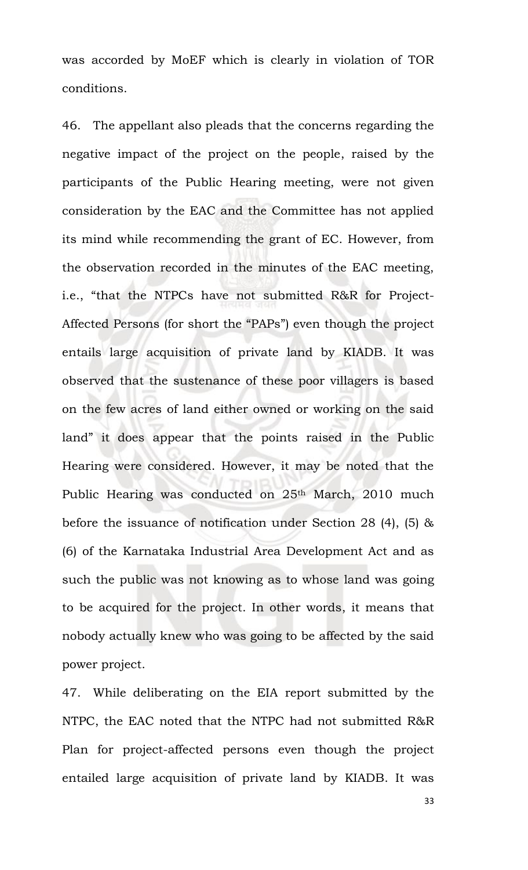was accorded by MoEF which is clearly in violation of TOR conditions.

46. The appellant also pleads that the concerns regarding the negative impact of the project on the people, raised by the participants of the Public Hearing meeting, were not given consideration by the EAC and the Committee has not applied its mind while recommending the grant of EC. However, from the observation recorded in the minutes of the EAC meeting, i.e., "that the NTPCs have not submitted R&R for Project-Affected Persons (for short the "PAPs") even though the project entails large acquisition of private land by KIADB. It was observed that the sustenance of these poor villagers is based on the few acres of land either owned or working on the said land" it does appear that the points raised in the Public Hearing were considered. However, it may be noted that the Public Hearing was conducted on 25<sup>th</sup> March, 2010 much before the issuance of notification under Section 28 (4), (5) & (6) of the Karnataka Industrial Area Development Act and as such the public was not knowing as to whose land was going to be acquired for the project. In other words, it means that nobody actually knew who was going to be affected by the said power project.

47. While deliberating on the EIA report submitted by the NTPC, the EAC noted that the NTPC had not submitted R&R Plan for project-affected persons even though the project entailed large acquisition of private land by KIADB. It was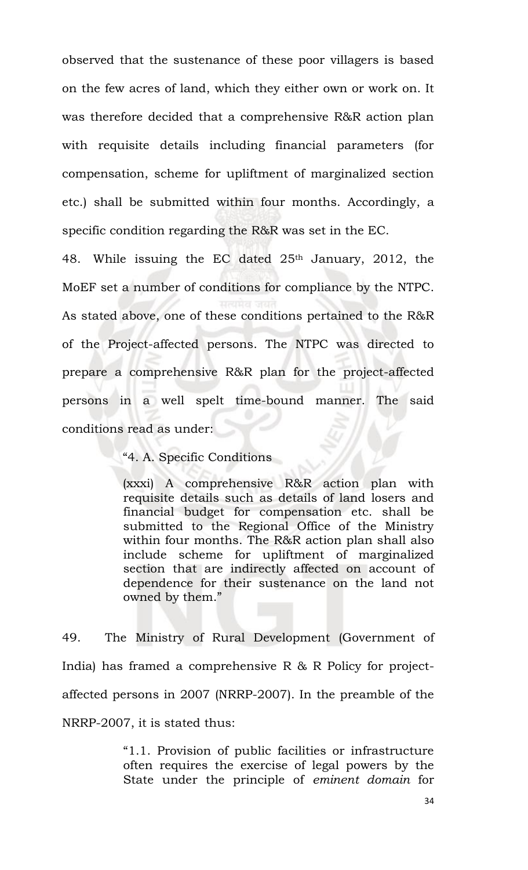observed that the sustenance of these poor villagers is based on the few acres of land, which they either own or work on. It was therefore decided that a comprehensive R&R action plan with requisite details including financial parameters (for compensation, scheme for upliftment of marginalized section etc.) shall be submitted within four months. Accordingly, a specific condition regarding the R&R was set in the EC.

48. While issuing the EC dated 25th January, 2012, the MoEF set a number of conditions for compliance by the NTPC. As stated above, one of these conditions pertained to the R&R of the Project-affected persons. The NTPC was directed to prepare a comprehensive R&R plan for the project-affected persons in a well spelt time-bound manner. The said conditions read as under:

"4. A. Specific Conditions

(xxxi) A comprehensive R&R action plan with requisite details such as details of land losers and financial budget for compensation etc. shall be submitted to the Regional Office of the Ministry within four months. The R&R action plan shall also include scheme for upliftment of marginalized section that are indirectly affected on account of dependence for their sustenance on the land not owned by them."

49. The Ministry of Rural Development (Government of India) has framed a comprehensive R & R Policy for projectaffected persons in 2007 (NRRP-2007). In the preamble of the NRRP-2007, it is stated thus:

> "1.1. Provision of public facilities or infrastructure often requires the exercise of legal powers by the State under the principle of *eminent domain* for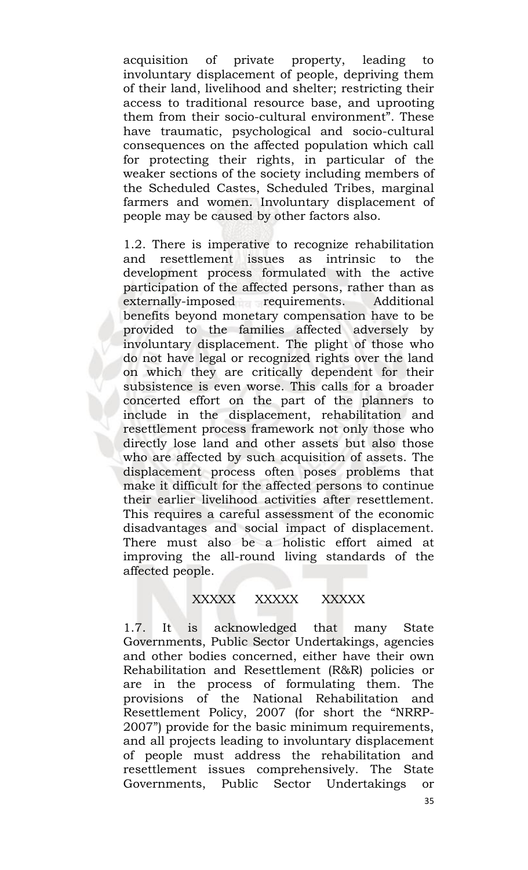acquisition of private property, leading to involuntary displacement of people, depriving them of their land, livelihood and shelter; restricting their access to traditional resource base, and uprooting them from their socio-cultural environment". These have traumatic, psychological and socio-cultural consequences on the affected population which call for protecting their rights, in particular of the weaker sections of the society including members of the Scheduled Castes, Scheduled Tribes, marginal farmers and women. Involuntary displacement of people may be caused by other factors also.

1.2. There is imperative to recognize rehabilitation and resettlement issues as intrinsic to the development process formulated with the active participation of the affected persons, rather than as externally-imposed requirements. Additional benefits beyond monetary compensation have to be provided to the families affected adversely by involuntary displacement. The plight of those who do not have legal or recognized rights over the land on which they are critically dependent for their subsistence is even worse. This calls for a broader concerted effort on the part of the planners to include in the displacement, rehabilitation and resettlement process framework not only those who directly lose land and other assets but also those who are affected by such acquisition of assets. The displacement process often poses problems that make it difficult for the affected persons to continue their earlier livelihood activities after resettlement. This requires a careful assessment of the economic disadvantages and social impact of displacement. There must also be a holistic effort aimed at improving the all-round living standards of the affected people.

# XXXXX XXXXX XXXXX

1.7. It is acknowledged that many State Governments, Public Sector Undertakings, agencies and other bodies concerned, either have their own Rehabilitation and Resettlement (R&R) policies or are in the process of formulating them. The provisions of the National Rehabilitation and Resettlement Policy, 2007 (for short the "NRRP-2007") provide for the basic minimum requirements, and all projects leading to involuntary displacement of people must address the rehabilitation and resettlement issues comprehensively. The State Governments, Public Sector Undertakings or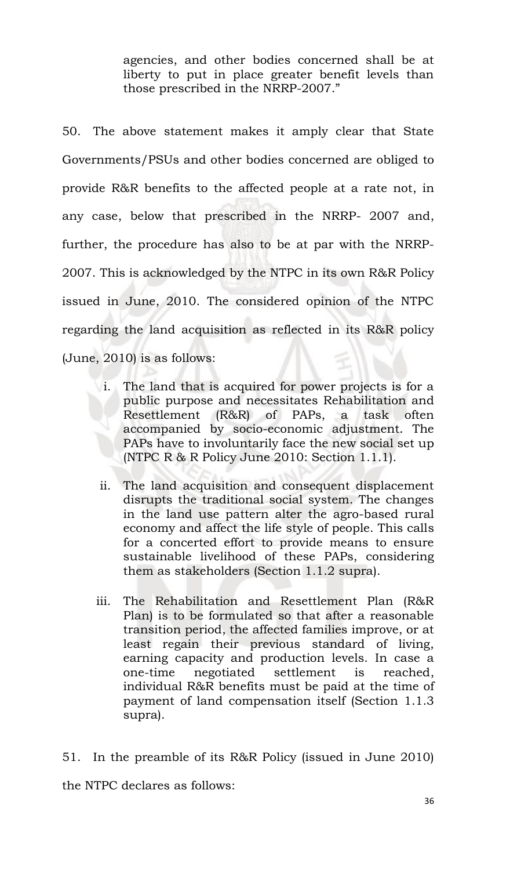agencies, and other bodies concerned shall be at liberty to put in place greater benefit levels than those prescribed in the NRRP-2007."

50. The above statement makes it amply clear that State Governments/PSUs and other bodies concerned are obliged to provide R&R benefits to the affected people at a rate not, in any case, below that prescribed in the NRRP- 2007 and, further, the procedure has also to be at par with the NRRP-2007. This is acknowledged by the NTPC in its own R&R Policy issued in June, 2010. The considered opinion of the NTPC regarding the land acquisition as reflected in its R&R policy (June, 2010) is as follows:

- i. The land that is acquired for power projects is for a public purpose and necessitates Rehabilitation and Resettlement (R&R) of PAPs, a task often accompanied by socio-economic adjustment. The PAPs have to involuntarily face the new social set up (NTPC R & R Policy June 2010: Section 1.1.1).
- ii. The land acquisition and consequent displacement disrupts the traditional social system. The changes in the land use pattern alter the agro-based rural economy and affect the life style of people. This calls for a concerted effort to provide means to ensure sustainable livelihood of these PAPs, considering them as stakeholders (Section 1.1.2 supra).
- iii. The Rehabilitation and Resettlement Plan (R&R Plan) is to be formulated so that after a reasonable transition period, the affected families improve, or at least regain their previous standard of living, earning capacity and production levels. In case a one-time negotiated settlement is reached, individual R&R benefits must be paid at the time of payment of land compensation itself (Section 1.1.3 supra).

51. In the preamble of its R&R Policy (issued in June 2010) the NTPC declares as follows: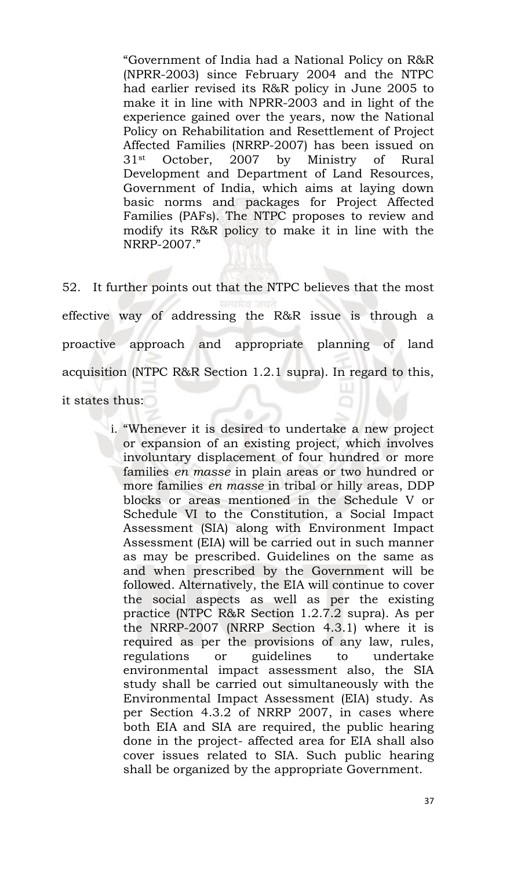"Government of India had a National Policy on R&R (NPRR-2003) since February 2004 and the NTPC had earlier revised its R&R policy in June 2005 to make it in line with NPRR-2003 and in light of the experience gained over the years, now the National Policy on Rehabilitation and Resettlement of Project Affected Families (NRRP-2007) has been issued on 31st October, 2007 by Ministry of Rural Development and Department of Land Resources, Government of India, which aims at laying down basic norms and packages for Project Affected Families (PAFs). The NTPC proposes to review and modify its R&R policy to make it in line with the NRRP-2007."

52. It further points out that the NTPC believes that the most effective way of addressing the R&R issue is through a proactive approach and appropriate planning of land acquisition (NTPC R&R Section 1.2.1 supra). In regard to this,

it states thus:

i. "Whenever it is desired to undertake a new project or expansion of an existing project, which involves involuntary displacement of four hundred or more families *en masse* in plain areas or two hundred or more families *en masse* in tribal or hilly areas, DDP blocks or areas mentioned in the Schedule V or Schedule VI to the Constitution, a Social Impact Assessment (SIA) along with Environment Impact Assessment (EIA) will be carried out in such manner as may be prescribed. Guidelines on the same as and when prescribed by the Government will be followed. Alternatively, the EIA will continue to cover the social aspects as well as per the existing practice (NTPC R&R Section 1.2.7.2 supra). As per the NRRP-2007 (NRRP Section 4.3.1) where it is required as per the provisions of any law, rules, regulations or guidelines to undertake environmental impact assessment also, the SIA study shall be carried out simultaneously with the Environmental Impact Assessment (EIA) study. As per Section 4.3.2 of NRRP 2007, in cases where both EIA and SIA are required, the public hearing done in the project- affected area for EIA shall also cover issues related to SIA. Such public hearing shall be organized by the appropriate Government.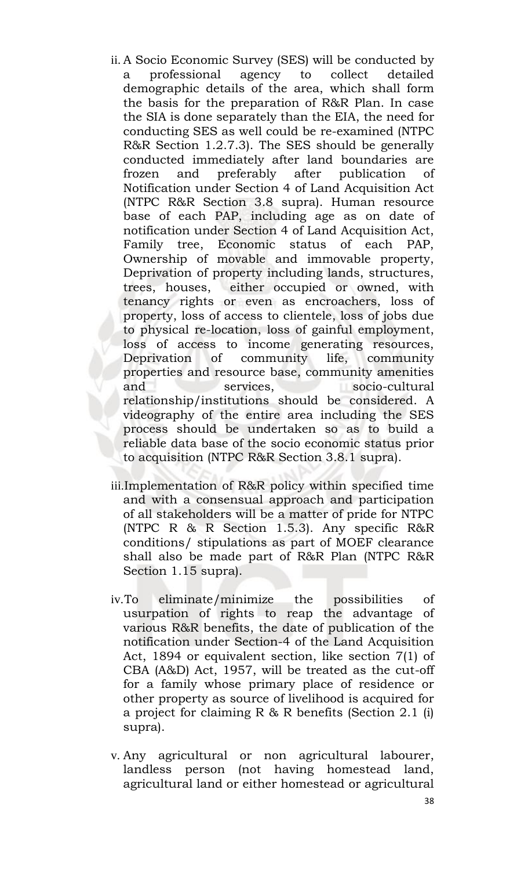- ii. A Socio Economic Survey (SES) will be conducted by a professional agency to collect detailed demographic details of the area, which shall form the basis for the preparation of R&R Plan. In case the SIA is done separately than the EIA, the need for conducting SES as well could be re-examined (NTPC R&R Section 1.2.7.3). The SES should be generally conducted immediately after land boundaries are frozen and preferably after publication of Notification under Section 4 of Land Acquisition Act (NTPC R&R Section 3.8 supra). Human resource base of each PAP, including age as on date of notification under Section 4 of Land Acquisition Act, Family tree, Economic status of each PAP, Ownership of movable and immovable property, Deprivation of property including lands, structures, trees, houses, either occupied or owned, with tenancy rights or even as encroachers, loss of property, loss of access to clientele, loss of jobs due to physical re-location, loss of gainful employment, loss of access to income generating resources, Deprivation of community life, community properties and resource base, community amenities and services, socio-cultural relationship/institutions should be considered. A videography of the entire area including the SES process should be undertaken so as to build a reliable data base of the socio economic status prior to acquisition (NTPC R&R Section 3.8.1 supra).
- iii.Implementation of R&R policy within specified time and with a consensual approach and participation of all stakeholders will be a matter of pride for NTPC (NTPC R & R Section 1.5.3). Any specific R&R conditions/ stipulations as part of MOEF clearance shall also be made part of R&R Plan (NTPC R&R Section 1.15 supra).
- iv.To eliminate/minimize the possibilities of usurpation of rights to reap the advantage of various R&R benefits, the date of publication of the notification under Section-4 of the Land Acquisition Act, 1894 or equivalent section, like section 7(1) of CBA (A&D) Act, 1957, will be treated as the cut-off for a family whose primary place of residence or other property as source of livelihood is acquired for a project for claiming R & R benefits (Section 2.1 (i) supra).
- v. Any agricultural or non agricultural labourer, landless person (not having homestead land, agricultural land or either homestead or agricultural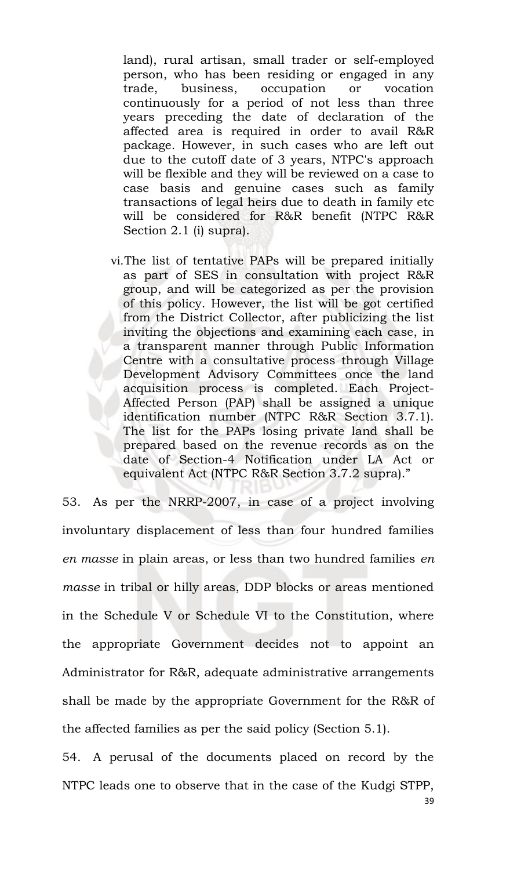land), rural artisan, small trader or self-employed person, who has been residing or engaged in any trade, business, occupation or vocation continuously for a period of not less than three years preceding the date of declaration of the affected area is required in order to avail R&R package. However, in such cases who are left out due to the cutoff date of 3 years, NTPC's approach will be flexible and they will be reviewed on a case to case basis and genuine cases such as family transactions of legal heirs due to death in family etc will be considered for R&R benefit (NTPC R&R Section 2.1 (i) supra).

vi.The list of tentative PAPs will be prepared initially as part of SES in consultation with project R&R group, and will be categorized as per the provision of this policy. However, the list will be got certified from the District Collector, after publicizing the list inviting the objections and examining each case, in a transparent manner through Public Information Centre with a consultative process through Village Development Advisory Committees once the land acquisition process is completed. Each Project-Affected Person (PAP) shall be assigned a unique identification number (NTPC R&R Section 3.7.1). The list for the PAPs losing private land shall be prepared based on the revenue records as on the date of Section-4 Notification under LA Act or equivalent Act (NTPC R&R Section 3.7.2 supra)."

53. As per the NRRP-2007, in case of a project involving involuntary displacement of less than four hundred families *en masse* in plain areas, or less than two hundred families *en masse* in tribal or hilly areas, DDP blocks or areas mentioned in the Schedule V or Schedule VI to the Constitution, where the appropriate Government decides not to appoint an Administrator for R&R, adequate administrative arrangements shall be made by the appropriate Government for the R&R of the affected families as per the said policy (Section 5.1).

54. A perusal of the documents placed on record by the NTPC leads one to observe that in the case of the Kudgi STPP,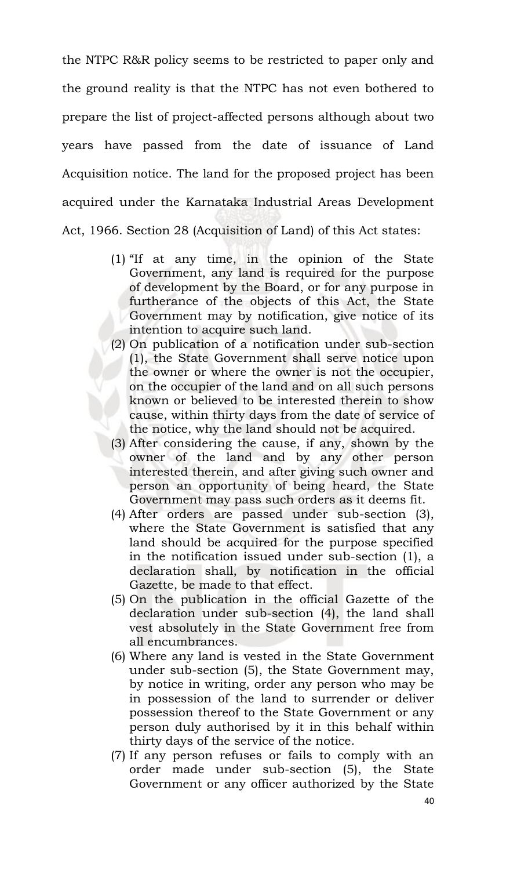the NTPC R&R policy seems to be restricted to paper only and the ground reality is that the NTPC has not even bothered to prepare the list of project-affected persons although about two years have passed from the date of issuance of Land Acquisition notice. The land for the proposed project has been acquired under the Karnataka Industrial Areas Development Act, 1966. Section 28 (Acquisition of Land) of this Act states:

- (1) "If at any time, in the opinion of the State Government, any land is required for the purpose of development by the Board, or for any purpose in furtherance of the objects of this Act, the State Government may by notification, give notice of its intention to acquire such land.
- (2) On publication of a notification under sub-section (1), the State Government shall serve notice upon the owner or where the owner is not the occupier, on the occupier of the land and on all such persons known or believed to be interested therein to show cause, within thirty days from the date of service of the notice, why the land should not be acquired.
- (3) After considering the cause, if any, shown by the owner of the land and by any other person interested therein, and after giving such owner and person an opportunity of being heard, the State Government may pass such orders as it deems fit.
- (4) After orders are passed under sub-section (3), where the State Government is satisfied that any land should be acquired for the purpose specified in the notification issued under sub-section (1), a declaration shall, by notification in the official Gazette, be made to that effect.
- (5) On the publication in the official Gazette of the declaration under sub-section (4), the land shall vest absolutely in the State Government free from all encumbrances.
- (6) Where any land is vested in the State Government under sub-section (5), the State Government may, by notice in writing, order any person who may be in possession of the land to surrender or deliver possession thereof to the State Government or any person duly authorised by it in this behalf within thirty days of the service of the notice.
- (7) If any person refuses or fails to comply with an order made under sub-section (5), the State Government or any officer authorized by the State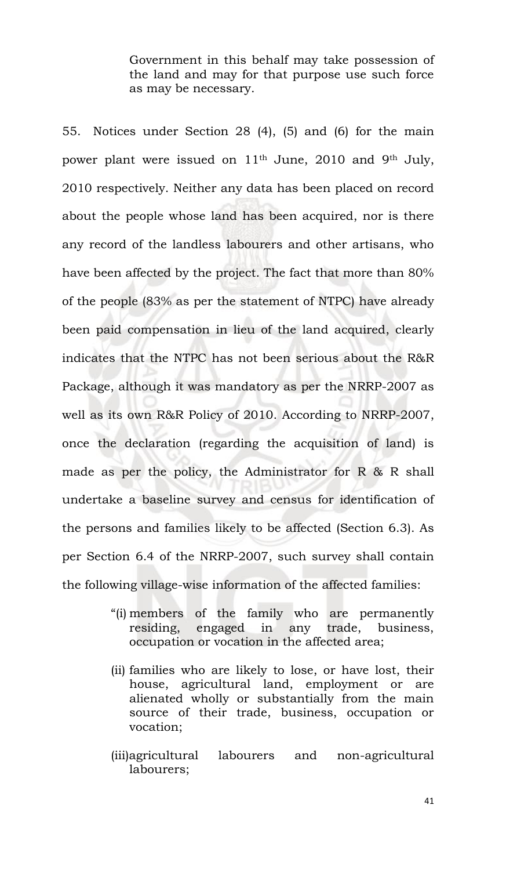Government in this behalf may take possession of the land and may for that purpose use such force as may be necessary.

55. Notices under Section 28 (4), (5) and (6) for the main power plant were issued on 11<sup>th</sup> June, 2010 and 9<sup>th</sup> July, 2010 respectively. Neither any data has been placed on record about the people whose land has been acquired, nor is there any record of the landless labourers and other artisans, who have been affected by the project. The fact that more than 80% of the people (83% as per the statement of NTPC) have already been paid compensation in lieu of the land acquired, clearly indicates that the NTPC has not been serious about the R&R Package, although it was mandatory as per the NRRP-2007 as well as its own R&R Policy of 2010. According to NRRP-2007, once the declaration (regarding the acquisition of land) is made as per the policy, the Administrator for R & R shall undertake a baseline survey and census for identification of the persons and families likely to be affected (Section 6.3). As per Section 6.4 of the NRRP-2007, such survey shall contain the following village-wise information of the affected families:

- "(i) members of the family who are permanently residing, engaged in any trade, business, occupation or vocation in the affected area;
- (ii) families who are likely to lose, or have lost, their house, agricultural land, employment or are alienated wholly or substantially from the main source of their trade, business, occupation or vocation;
- (iii)agricultural labourers and non-agricultural labourers;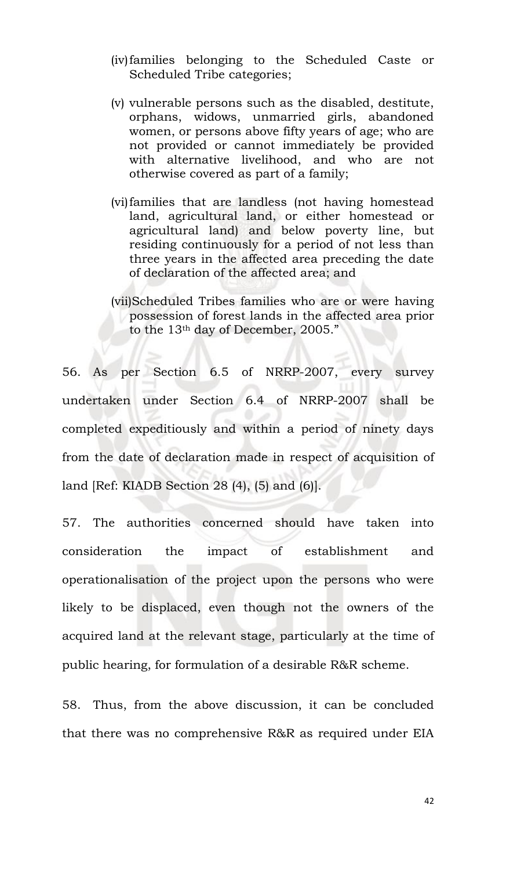- (iv)families belonging to the Scheduled Caste or Scheduled Tribe categories;
- (v) vulnerable persons such as the disabled, destitute, orphans, widows, unmarried girls, abandoned women, or persons above fifty years of age; who are not provided or cannot immediately be provided with alternative livelihood, and who are not otherwise covered as part of a family;
- (vi)families that are landless (not having homestead land, agricultural land, or either homestead or agricultural land) and below poverty line, but residing continuously for a period of not less than three years in the affected area preceding the date of declaration of the affected area; and
- (vii)Scheduled Tribes families who are or were having possession of forest lands in the affected area prior to the 13th day of December, 2005."

56. As per Section 6.5 of NRRP-2007, every survey undertaken under Section 6.4 of NRRP-2007 shall be completed expeditiously and within a period of ninety days from the date of declaration made in respect of acquisition of land [Ref: KIADB Section 28 (4), (5) and (6)].

57. The authorities concerned should have taken into consideration the impact of establishment and operationalisation of the project upon the persons who were likely to be displaced, even though not the owners of the acquired land at the relevant stage, particularly at the time of public hearing, for formulation of a desirable R&R scheme.

58. Thus, from the above discussion, it can be concluded that there was no comprehensive R&R as required under EIA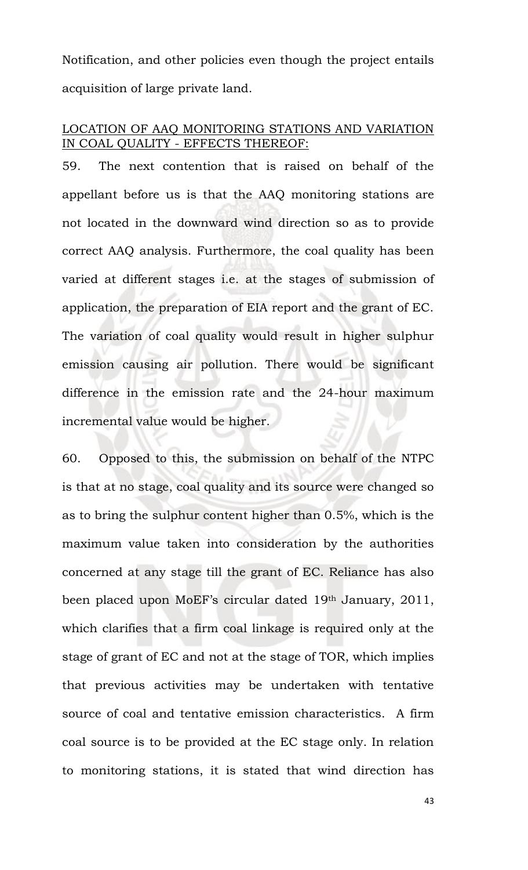Notification, and other policies even though the project entails acquisition of large private land.

## LOCATION OF AAQ MONITORING STATIONS AND VARIATION IN COAL QUALITY - EFFECTS THEREOF:

59. The next contention that is raised on behalf of the appellant before us is that the AAQ monitoring stations are not located in the downward wind direction so as to provide correct AAQ analysis. Furthermore, the coal quality has been varied at different stages i.e. at the stages of submission of application, the preparation of EIA report and the grant of EC. The variation of coal quality would result in higher sulphur emission causing air pollution. There would be significant difference in the emission rate and the 24-hour maximum incremental value would be higher.

60. Opposed to this, the submission on behalf of the NTPC is that at no stage, coal quality and its source were changed so as to bring the sulphur content higher than 0.5%, which is the maximum value taken into consideration by the authorities concerned at any stage till the grant of EC. Reliance has also been placed upon MoEF's circular dated 19th January, 2011, which clarifies that a firm coal linkage is required only at the stage of grant of EC and not at the stage of TOR, which implies that previous activities may be undertaken with tentative source of coal and tentative emission characteristics. A firm coal source is to be provided at the EC stage only. In relation to monitoring stations, it is stated that wind direction has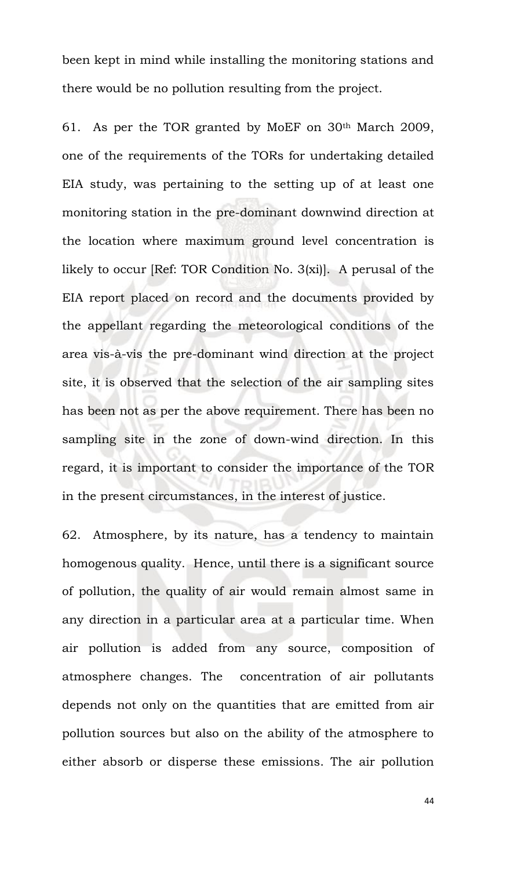been kept in mind while installing the monitoring stations and there would be no pollution resulting from the project.

61. As per the TOR granted by MoEF on 30th March 2009, one of the requirements of the TORs for undertaking detailed EIA study, was pertaining to the setting up of at least one monitoring station in the pre-dominant downwind direction at the location where maximum ground level concentration is likely to occur [Ref: TOR Condition No. 3(xi)]. A perusal of the EIA report placed on record and the documents provided by the appellant regarding the meteorological conditions of the area vis-à-vis the pre-dominant wind direction at the project site, it is observed that the selection of the air sampling sites has been not as per the above requirement. There has been no sampling site in the zone of down-wind direction. In this regard, it is important to consider the importance of the TOR in the present circumstances, in the interest of justice.

62. Atmosphere, by its nature, has a tendency to maintain homogenous quality. Hence, until there is a significant source of pollution, the quality of air would remain almost same in any direction in a particular area at a particular time. When air pollution is added from any source, composition of atmosphere changes. The concentration of air pollutants depends not only on the quantities that are emitted from air pollution sources but also on the ability of the atmosphere to either absorb or disperse these emissions. The air pollution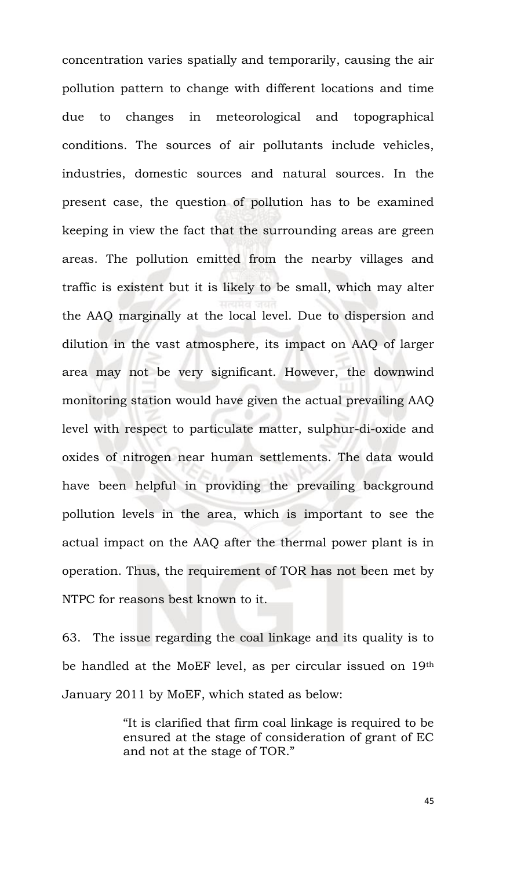concentration varies spatially and temporarily, causing the air pollution pattern to change with different locations and time due to changes in meteorological and topographical conditions. The sources of air pollutants include vehicles, industries, domestic sources and natural sources. In the present case, the question of pollution has to be examined keeping in view the fact that the surrounding areas are green areas. The pollution emitted from the nearby villages and traffic is existent but it is likely to be small, which may alter the AAQ marginally at the local level. Due to dispersion and dilution in the vast atmosphere, its impact on AAQ of larger area may not be very significant. However, the downwind monitoring station would have given the actual prevailing AAQ level with respect to particulate matter, sulphur-di-oxide and oxides of nitrogen near human settlements. The data would have been helpful in providing the prevailing background pollution levels in the area, which is important to see the actual impact on the AAQ after the thermal power plant is in operation. Thus, the requirement of TOR has not been met by NTPC for reasons best known to it.

63. The issue regarding the coal linkage and its quality is to be handled at the MoEF level, as per circular issued on 19th January 2011 by MoEF, which stated as below:

> "It is clarified that firm coal linkage is required to be ensured at the stage of consideration of grant of EC and not at the stage of TOR."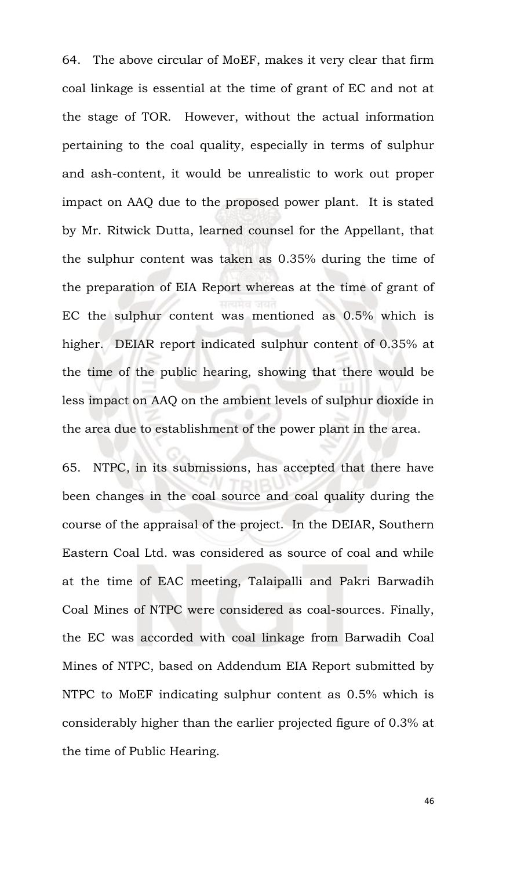64. The above circular of MoEF, makes it very clear that firm coal linkage is essential at the time of grant of EC and not at the stage of TOR. However, without the actual information pertaining to the coal quality, especially in terms of sulphur and ash-content, it would be unrealistic to work out proper impact on AAQ due to the proposed power plant. It is stated by Mr. Ritwick Dutta, learned counsel for the Appellant, that the sulphur content was taken as 0.35% during the time of the preparation of EIA Report whereas at the time of grant of EC the sulphur content was mentioned as 0.5% which is higher. DEIAR report indicated sulphur content of 0.35% at the time of the public hearing, showing that there would be less impact on AAQ on the ambient levels of sulphur dioxide in the area due to establishment of the power plant in the area.

65. NTPC, in its submissions, has accepted that there have been changes in the coal source and coal quality during the course of the appraisal of the project. In the DEIAR, Southern Eastern Coal Ltd. was considered as source of coal and while at the time of EAC meeting, Talaipalli and Pakri Barwadih Coal Mines of NTPC were considered as coal-sources. Finally, the EC was accorded with coal linkage from Barwadih Coal Mines of NTPC, based on Addendum EIA Report submitted by NTPC to MoEF indicating sulphur content as 0.5% which is considerably higher than the earlier projected figure of 0.3% at the time of Public Hearing.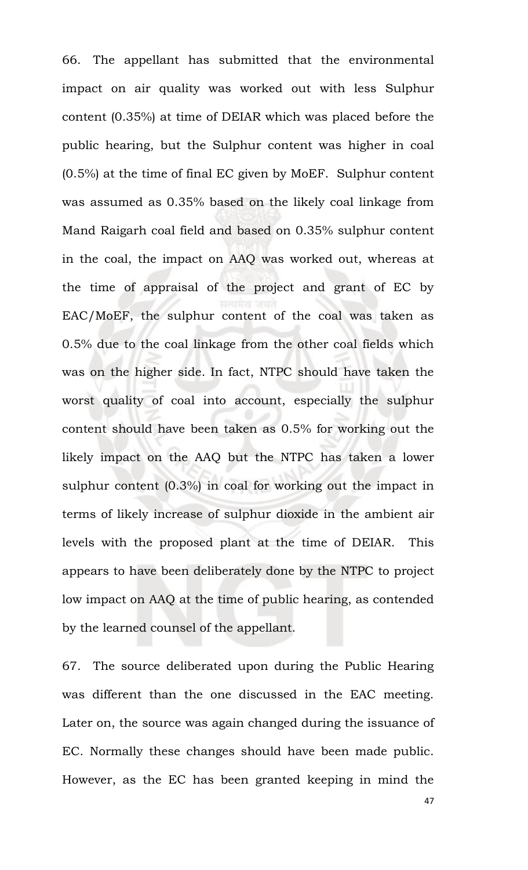66. The appellant has submitted that the environmental impact on air quality was worked out with less Sulphur content (0.35%) at time of DEIAR which was placed before the public hearing, but the Sulphur content was higher in coal (0.5%) at the time of final EC given by MoEF. Sulphur content was assumed as 0.35% based on the likely coal linkage from Mand Raigarh coal field and based on 0.35% sulphur content in the coal, the impact on AAQ was worked out, whereas at the time of appraisal of the project and grant of EC by EAC/MoEF, the sulphur content of the coal was taken as 0.5% due to the coal linkage from the other coal fields which was on the higher side. In fact, NTPC should have taken the worst quality of coal into account, especially the sulphur content should have been taken as 0.5% for working out the likely impact on the AAQ but the NTPC has taken a lower sulphur content (0.3%) in coal for working out the impact in terms of likely increase of sulphur dioxide in the ambient air levels with the proposed plant at the time of DEIAR. This appears to have been deliberately done by the NTPC to project low impact on AAQ at the time of public hearing, as contended by the learned counsel of the appellant.

67. The source deliberated upon during the Public Hearing was different than the one discussed in the EAC meeting. Later on, the source was again changed during the issuance of EC. Normally these changes should have been made public. However, as the EC has been granted keeping in mind the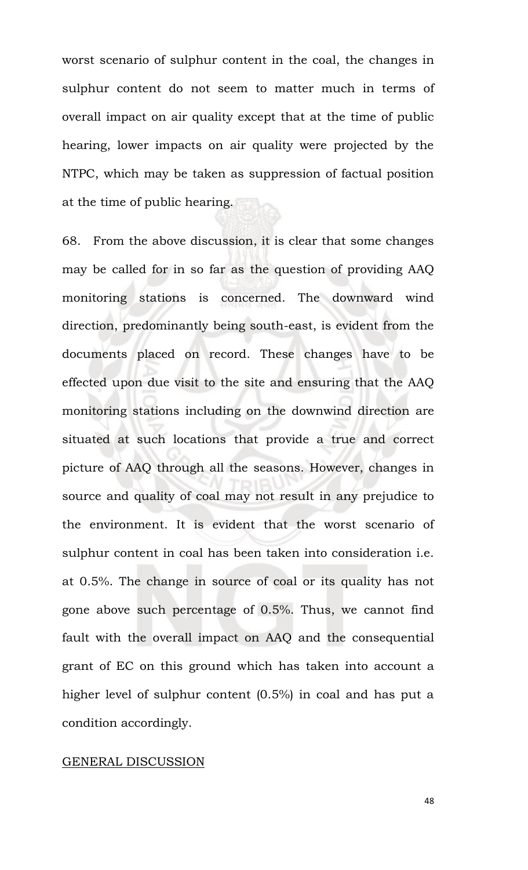worst scenario of sulphur content in the coal, the changes in sulphur content do not seem to matter much in terms of overall impact on air quality except that at the time of public hearing, lower impacts on air quality were projected by the NTPC, which may be taken as suppression of factual position at the time of public hearing.

68. From the above discussion, it is clear that some changes may be called for in so far as the question of providing AAQ monitoring stations is concerned. The downward wind direction, predominantly being south-east, is evident from the documents placed on record. These changes have to be effected upon due visit to the site and ensuring that the AAQ monitoring stations including on the downwind direction are situated at such locations that provide a true and correct picture of AAQ through all the seasons. However, changes in source and quality of coal may not result in any prejudice to the environment. It is evident that the worst scenario of sulphur content in coal has been taken into consideration i.e. at 0.5%. The change in source of coal or its quality has not gone above such percentage of 0.5%. Thus, we cannot find fault with the overall impact on AAQ and the consequential grant of EC on this ground which has taken into account a higher level of sulphur content (0.5%) in coal and has put a condition accordingly.

### GENERAL DISCUSSION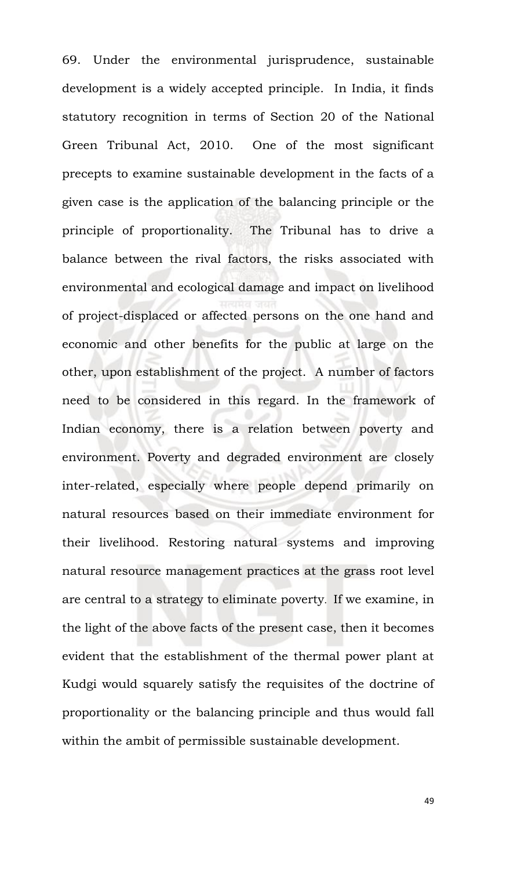69. Under the environmental jurisprudence, sustainable development is a widely accepted principle. In India, it finds statutory recognition in terms of Section 20 of the National Green Tribunal Act, 2010. One of the most significant precepts to examine sustainable development in the facts of a given case is the application of the balancing principle or the principle of proportionality. The Tribunal has to drive a balance between the rival factors, the risks associated with environmental and ecological damage and impact on livelihood of project-displaced or affected persons on the one hand and economic and other benefits for the public at large on the other, upon establishment of the project. A number of factors need to be considered in this regard. In the framework of Indian economy, there is a relation between poverty and environment. Poverty and degraded environment are closely inter-related, especially where people depend primarily on natural resources based on their immediate environment for their livelihood. Restoring natural systems and improving natural resource management practices at the grass root level are central to a strategy to eliminate poverty. If we examine, in the light of the above facts of the present case, then it becomes evident that the establishment of the thermal power plant at Kudgi would squarely satisfy the requisites of the doctrine of proportionality or the balancing principle and thus would fall within the ambit of permissible sustainable development.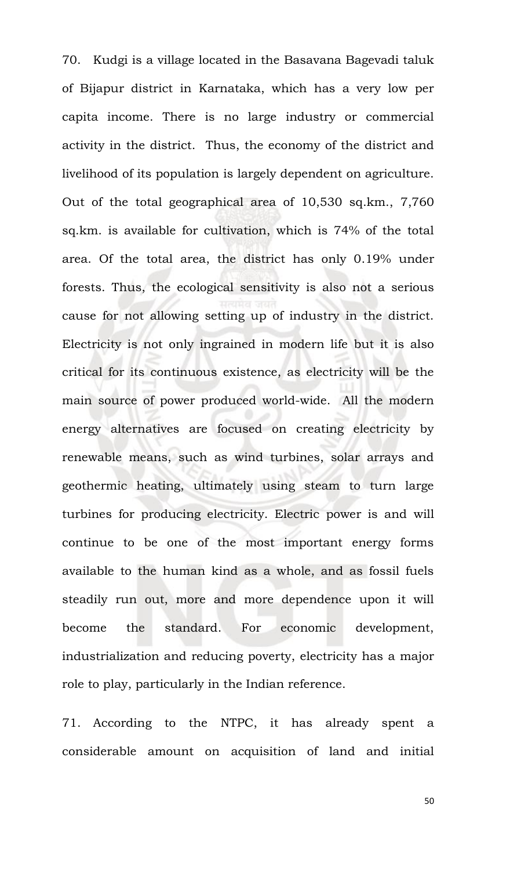70. Kudgi is a village located in the Basavana Bagevadi taluk of Bijapur district in Karnataka, which has a very low per capita income. There is no large industry or commercial activity in the district. Thus, the economy of the district and livelihood of its population is largely dependent on agriculture. Out of the total geographical area of 10,530 sq.km., 7,760 sq.km. is available for cultivation, which is 74% of the total area. Of the total area, the district has only 0.19% under forests. Thus, the ecological sensitivity is also not a serious cause for not allowing setting up of industry in the district. Electricity is not only ingrained in modern life but it is also critical for its continuous existence, as electricity will be the main source of power produced world-wide. All the modern energy alternatives are focused on creating electricity by renewable means, such as wind turbines, solar arrays and geothermic heating, ultimately using steam to turn large turbines for producing electricity. Electric power is and will continue to be one of the most important energy forms available to the human kind as a whole, and as fossil fuels steadily run out, more and more dependence upon it will become the standard. For economic development, industrialization and reducing poverty, electricity has a major role to play, particularly in the Indian reference.

71. According to the NTPC, it has already spent a considerable amount on acquisition of land and initial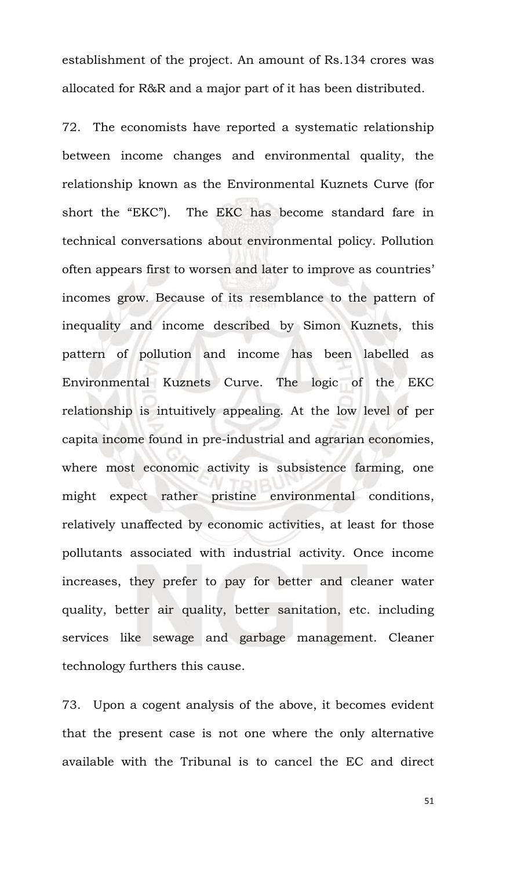establishment of the project. An amount of Rs.134 crores was allocated for R&R and a major part of it has been distributed.

72. The economists have reported a systematic relationship between income changes and environmental quality, the relationship known as the Environmental Kuznets Curve (for short the "EKC"). The EKC has become standard fare in technical conversations about environmental policy. Pollution often appears first to worsen and later to improve as countries' incomes grow. Because of its resemblance to the pattern of inequality and income described by Simon Kuznets, this pattern of pollution and income has been labelled as Environmental Kuznets Curve. The logic of the EKC relationship is intuitively appealing. At the low level of per capita income found in pre-industrial and agrarian economies, where most economic activity is subsistence farming, one might expect rather pristine environmental conditions, relatively unaffected by economic activities, at least for those pollutants associated with industrial activity. Once income increases, they prefer to pay for better and cleaner water quality, better air quality, better sanitation, etc. including services like sewage and garbage management. Cleaner technology furthers this cause.

73. Upon a cogent analysis of the above, it becomes evident that the present case is not one where the only alternative available with the Tribunal is to cancel the EC and direct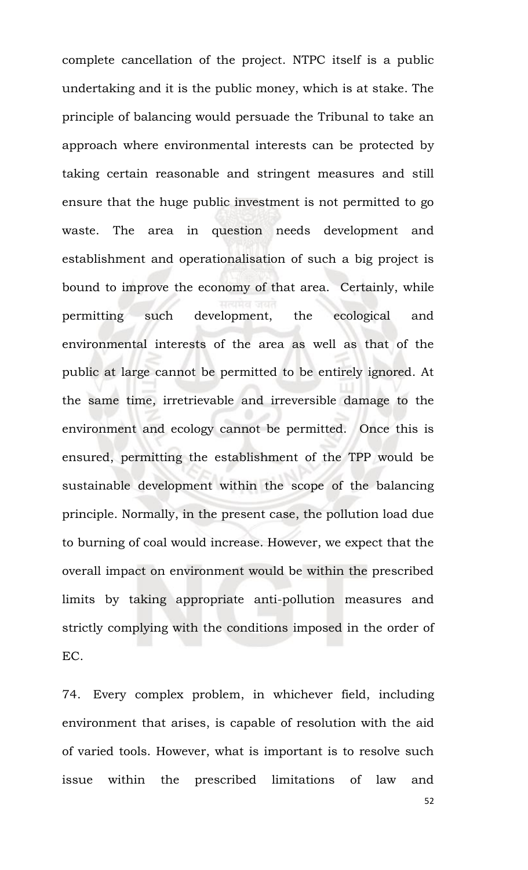complete cancellation of the project. NTPC itself is a public undertaking and it is the public money, which is at stake. The principle of balancing would persuade the Tribunal to take an approach where environmental interests can be protected by taking certain reasonable and stringent measures and still ensure that the huge public investment is not permitted to go waste. The area in question needs development and establishment and operationalisation of such a big project is bound to improve the economy of that area. Certainly, while permitting such development, the ecological and environmental interests of the area as well as that of the public at large cannot be permitted to be entirely ignored. At the same time, irretrievable and irreversible damage to the environment and ecology cannot be permitted. Once this is ensured, permitting the establishment of the TPP would be sustainable development within the scope of the balancing principle. Normally, in the present case, the pollution load due to burning of coal would increase. However, we expect that the overall impact on environment would be within the prescribed limits by taking appropriate anti-pollution measures and strictly complying with the conditions imposed in the order of EC.

74. Every complex problem, in whichever field, including environment that arises, is capable of resolution with the aid of varied tools. However, what is important is to resolve such issue within the prescribed limitations of law and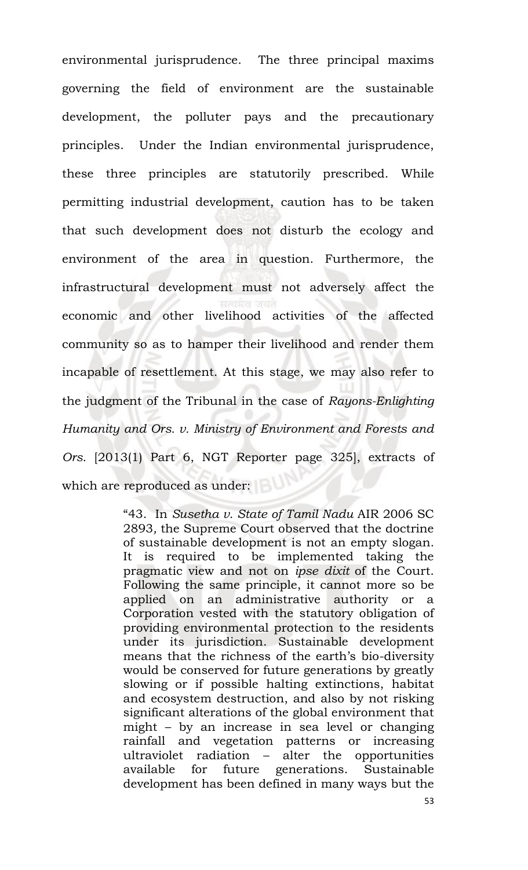environmental jurisprudence. The three principal maxims governing the field of environment are the sustainable development, the polluter pays and the precautionary principles. Under the Indian environmental jurisprudence, these three principles are statutorily prescribed. While permitting industrial development, caution has to be taken that such development does not disturb the ecology and environment of the area in question. Furthermore, the infrastructural development must not adversely affect the economic and other livelihood activities of the affected community so as to hamper their livelihood and render them incapable of resettlement. At this stage, we may also refer to the judgment of the Tribunal in the case of *Rayons-Enlighting Humanity and Ors. v. Ministry of Environment and Forests and Ors.* [2013(1) Part 6, NGT Reporter page 325], extracts of which are reproduced as under:

> "43. In *Susetha v. State of Tamil Nadu* AIR 2006 SC 2893*,* the Supreme Court observed that the doctrine of sustainable development is not an empty slogan. It is required to be implemented taking the pragmatic view and not on *ipse dixit* of the Court. Following the same principle, it cannot more so be applied on an administrative authority or a Corporation vested with the statutory obligation of providing environmental protection to the residents under its jurisdiction. Sustainable development means that the richness of the earth's bio-diversity would be conserved for future generations by greatly slowing or if possible halting extinctions, habitat and ecosystem destruction, and also by not risking significant alterations of the global environment that might – by an increase in sea level or changing rainfall and vegetation patterns or increasing ultraviolet radiation – alter the opportunities available for future generations. Sustainable development has been defined in many ways but the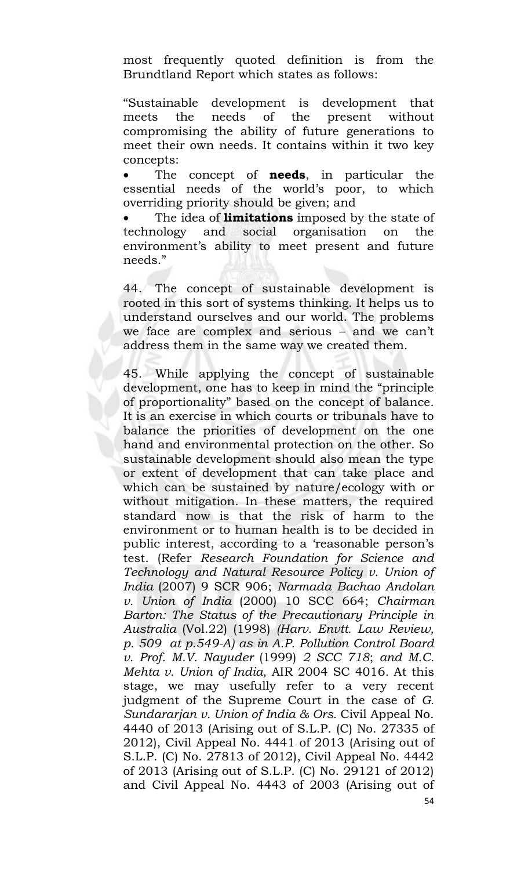most frequently quoted definition is from the Brundtland Report which states as follows:

"Sustainable development is development that meets the needs of the present without compromising the ability of future generations to meet their own needs. It contains within it two key concepts:

 The concept of **needs**, in particular the essential needs of the world's poor, to which overriding priority should be given; and

 The idea of **limitations** imposed by the state of technology and social organisation on the environment's ability to meet present and future needs."

44. The concept of sustainable development is rooted in this sort of systems thinking. It helps us to understand ourselves and our world. The problems we face are complex and serious – and we can't address them in the same way we created them.

45. While applying the concept of sustainable development, one has to keep in mind the "principle of proportionality" based on the concept of balance. It is an exercise in which courts or tribunals have to balance the priorities of development on the one hand and environmental protection on the other. So sustainable development should also mean the type or extent of development that can take place and which can be sustained by nature/ecology with or without mitigation. In these matters, the required standard now is that the risk of harm to the environment or to human health is to be decided in public interest, according to a 'reasonable person's test. (Refer *Research Foundation for Science and Technology and Natural Resource Policy v. Union of India* (2007) 9 SCR 906; *Narmada Bachao Andolan v. Union of India* (2000) 10 SCC 664; *Chairman Barton: The Status of the Precautionary Principle in Australia* (Vol.22) (1998) *(Harv. Envtt. Law Review, p. 509 at p.549-A) as in A.P. Pollution Control Board v. Prof. M.V. Nayuder* (1999) *2 SCC 718*; *and M.C. Mehta v. Union of India,* AIR 2004 SC 4016*.* At this stage, we may usefully refer to a very recent judgment of the Supreme Court in the case of *G. Sundararjan v. Union of India & Ors.* Civil Appeal No. 4440 of 2013 (Arising out of S.L.P. (C) No. 27335 of 2012), Civil Appeal No. 4441 of 2013 (Arising out of S.L.P. (C) No. 27813 of 2012), Civil Appeal No. 4442 of 2013 (Arising out of S.L.P. (C) No. 29121 of 2012) and Civil Appeal No. 4443 of 2003 (Arising out of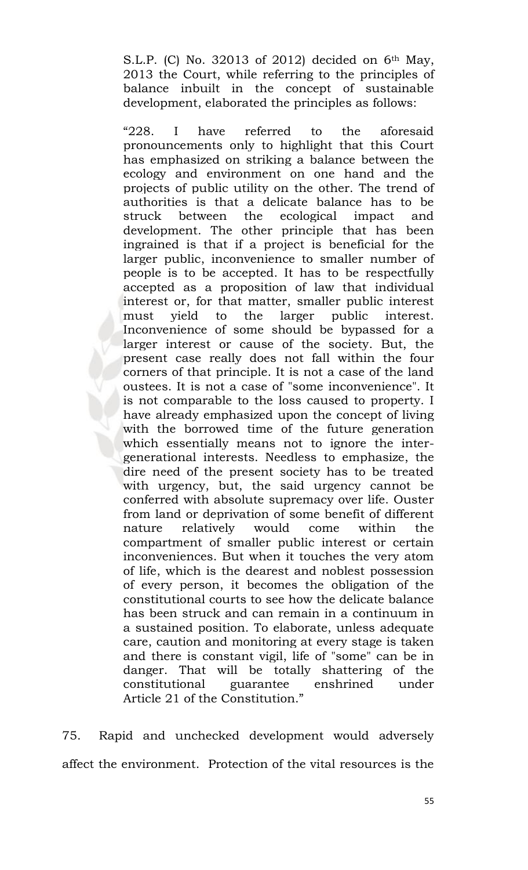S.L.P. (C) No. 32013 of 2012) decided on  $6<sup>th</sup>$  May, 2013 the Court, while referring to the principles of balance inbuilt in the concept of sustainable development, elaborated the principles as follows:

"228. I have referred to the aforesaid pronouncements only to highlight that this Court has emphasized on striking a balance between the ecology and environment on one hand and the projects of public utility on the other. The trend of authorities is that a delicate balance has to be struck between the ecological impact and development. The other principle that has been ingrained is that if a project is beneficial for the larger public, inconvenience to smaller number of people is to be accepted. It has to be respectfully accepted as a proposition of law that individual interest or, for that matter, smaller public interest must yield to the larger public interest. Inconvenience of some should be bypassed for a larger interest or cause of the society. But, the present case really does not fall within the four corners of that principle. It is not a case of the land oustees. It is not a case of "some inconvenience". It is not comparable to the loss caused to property. I have already emphasized upon the concept of living with the borrowed time of the future generation which essentially means not to ignore the intergenerational interests. Needless to emphasize, the dire need of the present society has to be treated with urgency, but, the said urgency cannot be conferred with absolute supremacy over life. Ouster from land or deprivation of some benefit of different nature relatively would come within the compartment of smaller public interest or certain inconveniences. But when it touches the very atom of life, which is the dearest and noblest possession of every person, it becomes the obligation of the constitutional courts to see how the delicate balance has been struck and can remain in a continuum in a sustained position. To elaborate, unless adequate care, caution and monitoring at every stage is taken and there is constant vigil, life of "some" can be in danger. That will be totally shattering of the constitutional guarantee enshrined under Article 21 of the Constitution."

75. Rapid and unchecked development would adversely affect the environment. Protection of the vital resources is the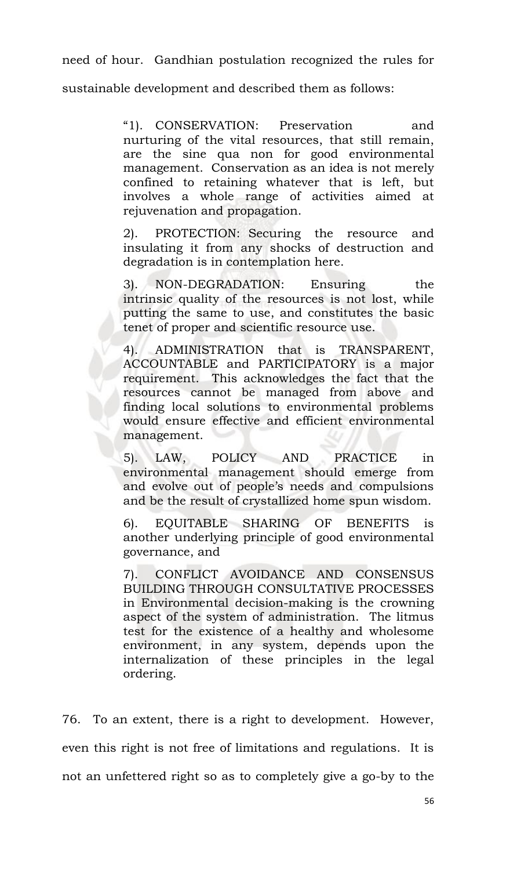need of hour. Gandhian postulation recognized the rules for

sustainable development and described them as follows:

"1). CONSERVATION: Preservation and nurturing of the vital resources, that still remain, are the sine qua non for good environmental management. Conservation as an idea is not merely confined to retaining whatever that is left, but involves a whole range of activities aimed at rejuvenation and propagation.

2). PROTECTION: Securing the resource and insulating it from any shocks of destruction and degradation is in contemplation here.

3). NON-DEGRADATION: Ensuring the intrinsic quality of the resources is not lost, while putting the same to use, and constitutes the basic tenet of proper and scientific resource use.

4). ADMINISTRATION that is TRANSPARENT, ACCOUNTABLE and PARTICIPATORY is a major requirement. This acknowledges the fact that the resources cannot be managed from above and finding local solutions to environmental problems would ensure effective and efficient environmental management.

5). LAW, POLICY AND PRACTICE in environmental management should emerge from and evolve out of people's needs and compulsions and be the result of crystallized home spun wisdom.

6). EQUITABLE SHARING OF BENEFITS is another underlying principle of good environmental governance, and

7). CONFLICT AVOIDANCE AND CONSENSUS BUILDING THROUGH CONSULTATIVE PROCESSES in Environmental decision-making is the crowning aspect of the system of administration. The litmus test for the existence of a healthy and wholesome environment, in any system, depends upon the internalization of these principles in the legal ordering.

76. To an extent, there is a right to development. However, even this right is not free of limitations and regulations. It is not an unfettered right so as to completely give a go-by to the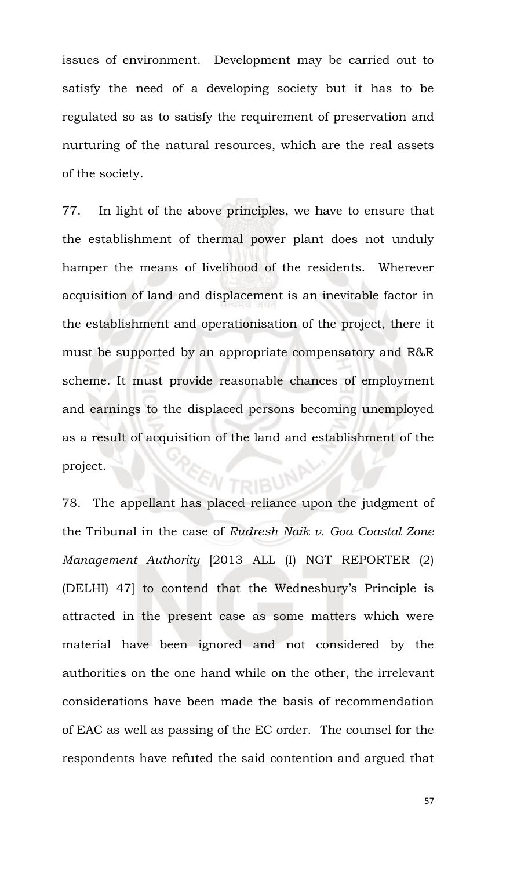issues of environment. Development may be carried out to satisfy the need of a developing society but it has to be regulated so as to satisfy the requirement of preservation and nurturing of the natural resources, which are the real assets of the society.

77. In light of the above principles, we have to ensure that the establishment of thermal power plant does not unduly hamper the means of livelihood of the residents. Wherever acquisition of land and displacement is an inevitable factor in the establishment and operationisation of the project, there it must be supported by an appropriate compensatory and R&R scheme. It must provide reasonable chances of employment and earnings to the displaced persons becoming unemployed as a result of acquisition of the land and establishment of the project. TRIBUNA

78. The appellant has placed reliance upon the judgment of the Tribunal in the case of *Rudresh Naik v. Goa Coastal Zone Management Authority* [2013 ALL (I) NGT REPORTER (2) (DELHI) 47] to contend that the Wednesbury's Principle is attracted in the present case as some matters which were material have been ignored and not considered by the authorities on the one hand while on the other, the irrelevant considerations have been made the basis of recommendation of EAC as well as passing of the EC order.The counsel for the respondents have refuted the said contention and argued that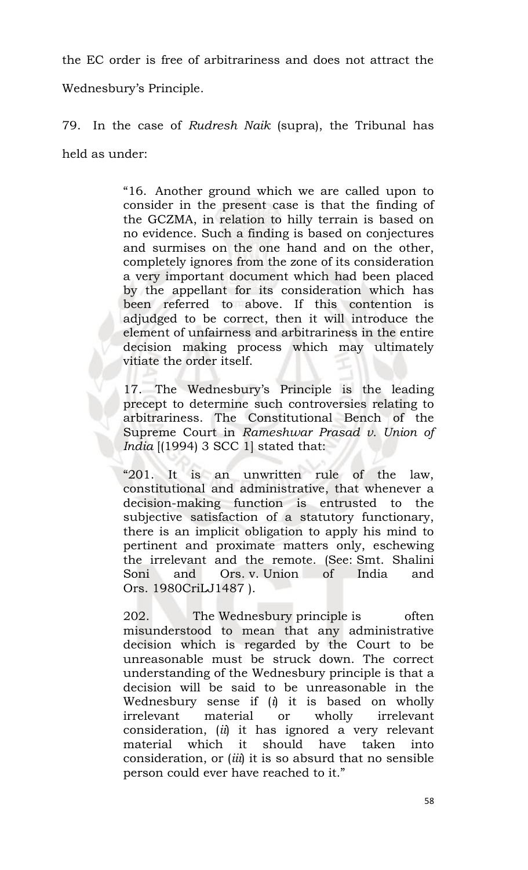the EC order is free of arbitrariness and does not attract the

Wednesbury's Principle.

79. In the case of *Rudresh Naik* (supra), the Tribunal has held as under:

> "16. Another ground which we are called upon to consider in the present case is that the finding of the GCZMA, in relation to hilly terrain is based on no evidence. Such a finding is based on conjectures and surmises on the one hand and on the other, completely ignores from the zone of its consideration a very important document which had been placed by the appellant for its consideration which has been referred to above. If this contention is adjudged to be correct, then it will introduce the element of unfairness and arbitrariness in the entire decision making process which may ultimately vitiate the order itself.

> 17. The Wednesbury's Principle is the leading precept to determine such controversies relating to arbitrariness. The Constitutional Bench of the Supreme Court in *Rameshwar Prasad v. Union of India* [(1994) 3 SCC 1] stated that:

> "201. It is an unwritten rule of the law, constitutional and administrative, that whenever a decision-making function is entrusted to the subjective satisfaction of a statutory functionary, there is an implicit obligation to apply his mind to pertinent and proximate matters only, eschewing the irrelevant and the remote. (See: Smt. Shalini Soni and Ors. v. Union of India and Ors. 1980CriLJ1487 ).

> 202. The Wednesbury principle is often misunderstood to mean that any administrative decision which is regarded by the Court to be unreasonable must be struck down. The correct understanding of the Wednesbury principle is that a decision will be said to be unreasonable in the Wednesbury sense if (*i*) it is based on wholly irrelevant material or wholly irrelevant consideration, (*ii*) it has ignored a very relevant material which it should have taken into consideration, or (*iii*) it is so absurd that no sensible person could ever have reached to it."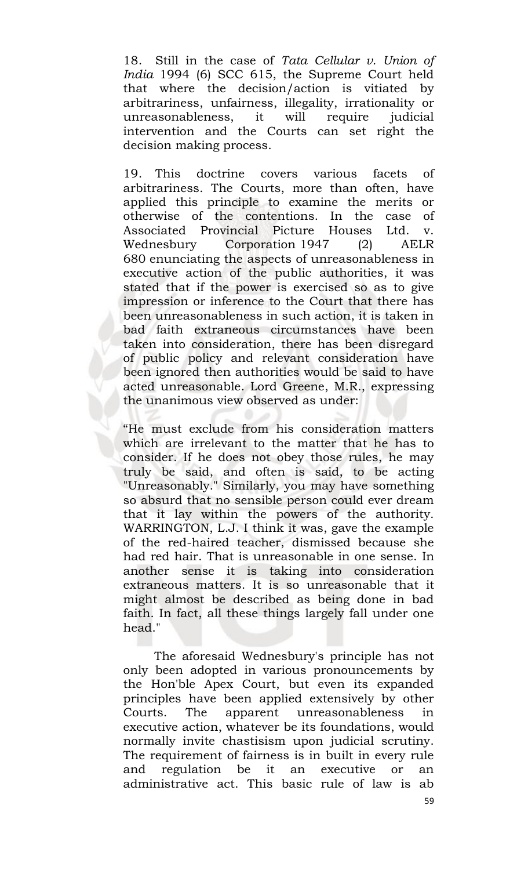18. Still in the case of *Tata Cellular v. Union of India* 1994 (6) SCC 615, the Supreme Court held that where the decision/action is vitiated by arbitrariness, unfairness, illegality, irrationality or unreasonableness, it will require judicial intervention and the Courts can set right the decision making process.

19. This doctrine covers various facets of arbitrariness. The Courts, more than often, have applied this principle to examine the merits or otherwise of the contentions. In the case of Associated Provincial Picture Houses Ltd. v. Wednesbury Corporation 1947 (2) AELR 680 enunciating the aspects of unreasonableness in executive action of the public authorities, it was stated that if the power is exercised so as to give impression or inference to the Court that there has been unreasonableness in such action, it is taken in bad faith extraneous circumstances have been taken into consideration, there has been disregard of public policy and relevant consideration have been ignored then authorities would be said to have acted unreasonable. Lord Greene, M.R., expressing the unanimous view observed as under:

"He must exclude from his consideration matters which are irrelevant to the matter that he has to consider. If he does not obey those rules, he may truly be said, and often is said, to be acting "Unreasonably." Similarly, you may have something so absurd that no sensible person could ever dream that it lay within the powers of the authority. WARRINGTON, L.J. I think it was, gave the example of the red-haired teacher, dismissed because she had red hair. That is unreasonable in one sense. In another sense it is taking into consideration extraneous matters. It is so unreasonable that it might almost be described as being done in bad faith. In fact, all these things largely fall under one head."

The aforesaid Wednesbury's principle has not only been adopted in various pronouncements by the Hon'ble Apex Court, but even its expanded principles have been applied extensively by other Courts. The apparent unreasonableness in executive action, whatever be its foundations, would normally invite chastisism upon judicial scrutiny. The requirement of fairness is in built in every rule and regulation be it an executive or an administrative act. This basic rule of law is ab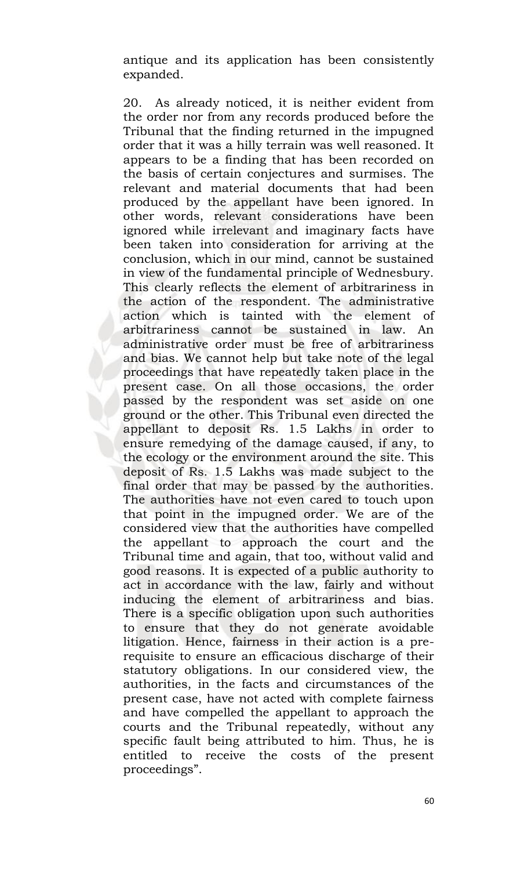antique and its application has been consistently expanded.

20. As already noticed, it is neither evident from the order nor from any records produced before the Tribunal that the finding returned in the impugned order that it was a hilly terrain was well reasoned. It appears to be a finding that has been recorded on the basis of certain conjectures and surmises. The relevant and material documents that had been produced by the appellant have been ignored. In other words, relevant considerations have been ignored while irrelevant and imaginary facts have been taken into consideration for arriving at the conclusion, which in our mind, cannot be sustained in view of the fundamental principle of Wednesbury. This clearly reflects the element of arbitrariness in the action of the respondent. The administrative action which is tainted with the element of arbitrariness cannot be sustained in law. An administrative order must be free of arbitrariness and bias. We cannot help but take note of the legal proceedings that have repeatedly taken place in the present case. On all those occasions, the order passed by the respondent was set aside on one ground or the other. This Tribunal even directed the appellant to deposit Rs. 1.5 Lakhs in order to ensure remedying of the damage caused, if any, to the ecology or the environment around the site. This deposit of Rs. 1.5 Lakhs was made subject to the final order that may be passed by the authorities. The authorities have not even cared to touch upon that point in the impugned order. We are of the considered view that the authorities have compelled the appellant to approach the court and the Tribunal time and again, that too, without valid and good reasons. It is expected of a public authority to act in accordance with the law, fairly and without inducing the element of arbitrariness and bias. There is a specific obligation upon such authorities to ensure that they do not generate avoidable litigation. Hence, fairness in their action is a prerequisite to ensure an efficacious discharge of their statutory obligations. In our considered view, the authorities, in the facts and circumstances of the present case, have not acted with complete fairness and have compelled the appellant to approach the courts and the Tribunal repeatedly, without any specific fault being attributed to him. Thus, he is entitled to receive the costs of the present proceedings".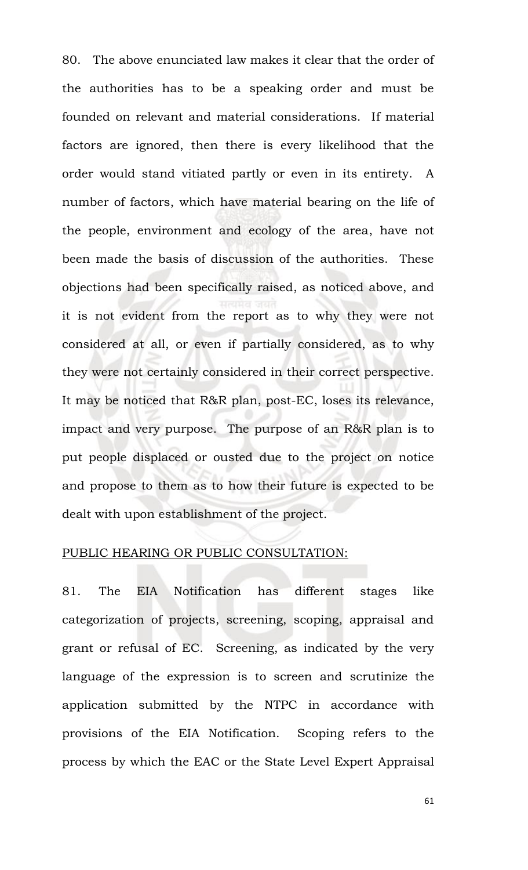80. The above enunciated law makes it clear that the order of the authorities has to be a speaking order and must be founded on relevant and material considerations. If material factors are ignored, then there is every likelihood that the order would stand vitiated partly or even in its entirety. A number of factors, which have material bearing on the life of the people, environment and ecology of the area, have not been made the basis of discussion of the authorities. These objections had been specifically raised, as noticed above, and it is not evident from the report as to why they were not considered at all, or even if partially considered, as to why they were not certainly considered in their correct perspective. It may be noticed that R&R plan, post-EC, loses its relevance, impact and very purpose. The purpose of an R&R plan is to put people displaced or ousted due to the project on notice and propose to them as to how their future is expected to be dealt with upon establishment of the project.

# PUBLIC HEARING OR PUBLIC CONSULTATION:

81. The EIA Notification has different stages like categorization of projects, screening, scoping, appraisal and grant or refusal of EC. Screening, as indicated by the very language of the expression is to screen and scrutinize the application submitted by the NTPC in accordance with provisions of the EIA Notification. Scoping refers to the process by which the EAC or the State Level Expert Appraisal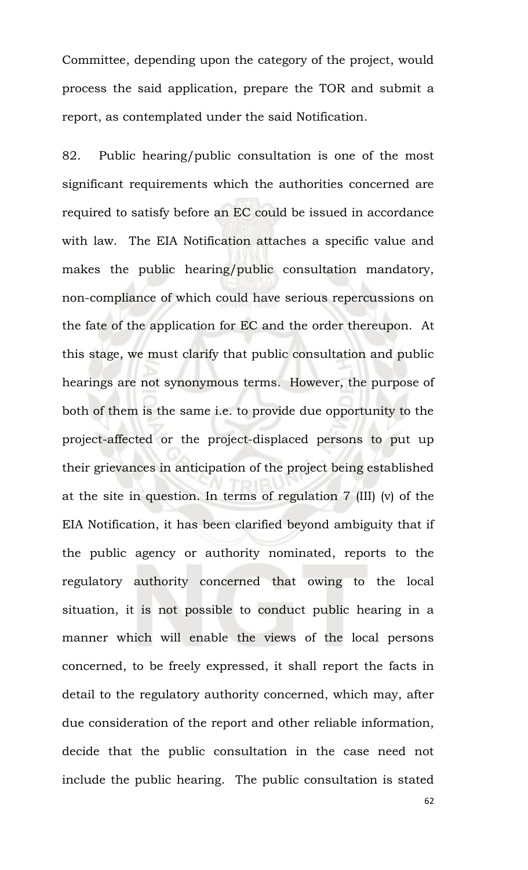Committee, depending upon the category of the project, would process the said application, prepare the TOR and submit a report, as contemplated under the said Notification.

82. Public hearing/public consultation is one of the most significant requirements which the authorities concerned are required to satisfy before an EC could be issued in accordance with law. The EIA Notification attaches a specific value and makes the public hearing/public consultation mandatory, non-compliance of which could have serious repercussions on the fate of the application for EC and the order thereupon. At this stage, we must clarify that public consultation and public hearings are not synonymous terms. However, the purpose of both of them is the same i.e. to provide due opportunity to the project-affected or the project-displaced persons to put up their grievances in anticipation of the project being established at the site in question. In terms of regulation 7 (III) (v) of the EIA Notification, it has been clarified beyond ambiguity that if the public agency or authority nominated, reports to the regulatory authority concerned that owing to the local situation, it is not possible to conduct public hearing in a manner which will enable the views of the local persons concerned, to be freely expressed, it shall report the facts in detail to the regulatory authority concerned, which may, after due consideration of the report and other reliable information, decide that the public consultation in the case need not include the public hearing. The public consultation is stated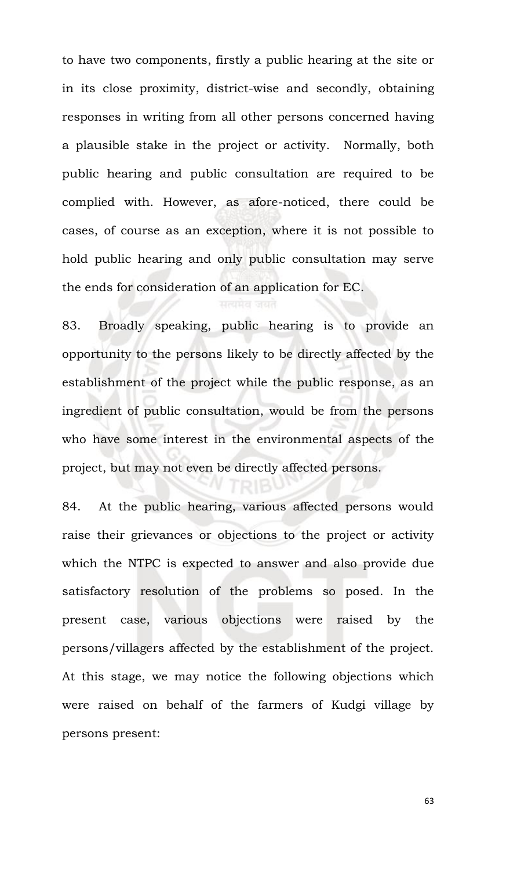to have two components, firstly a public hearing at the site or in its close proximity, district-wise and secondly, obtaining responses in writing from all other persons concerned having a plausible stake in the project or activity. Normally, both public hearing and public consultation are required to be complied with. However, as afore-noticed, there could be cases, of course as an exception, where it is not possible to hold public hearing and only public consultation may serve the ends for consideration of an application for EC.

83. Broadly speaking, public hearing is to provide an opportunity to the persons likely to be directly affected by the establishment of the project while the public response, as an ingredient of public consultation, would be from the persons who have some interest in the environmental aspects of the project, but may not even be directly affected persons.

84. At the public hearing, various affected persons would raise their grievances or objections to the project or activity which the NTPC is expected to answer and also provide due satisfactory resolution of the problems so posed. In the present case, various objections were raised by the persons/villagers affected by the establishment of the project. At this stage, we may notice the following objections which were raised on behalf of the farmers of Kudgi village by persons present: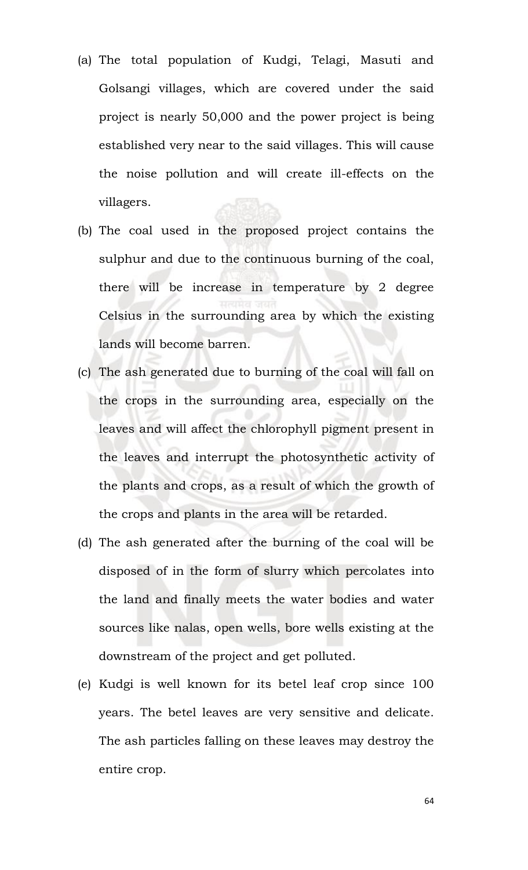- (a) The total population of Kudgi, Telagi, Masuti and Golsangi villages, which are covered under the said project is nearly 50,000 and the power project is being established very near to the said villages. This will cause the noise pollution and will create ill-effects on the villagers.
- (b) The coal used in the proposed project contains the sulphur and due to the continuous burning of the coal, there will be increase in temperature by 2 degree Celsius in the surrounding area by which the existing lands will become barren.
- (c) The ash generated due to burning of the coal will fall on the crops in the surrounding area, especially on the leaves and will affect the chlorophyll pigment present in the leaves and interrupt the photosynthetic activity of the plants and crops, as a result of which the growth of the crops and plants in the area will be retarded.
- (d) The ash generated after the burning of the coal will be disposed of in the form of slurry which percolates into the land and finally meets the water bodies and water sources like nalas, open wells, bore wells existing at the downstream of the project and get polluted.
- (e) Kudgi is well known for its betel leaf crop since 100 years. The betel leaves are very sensitive and delicate. The ash particles falling on these leaves may destroy the entire crop.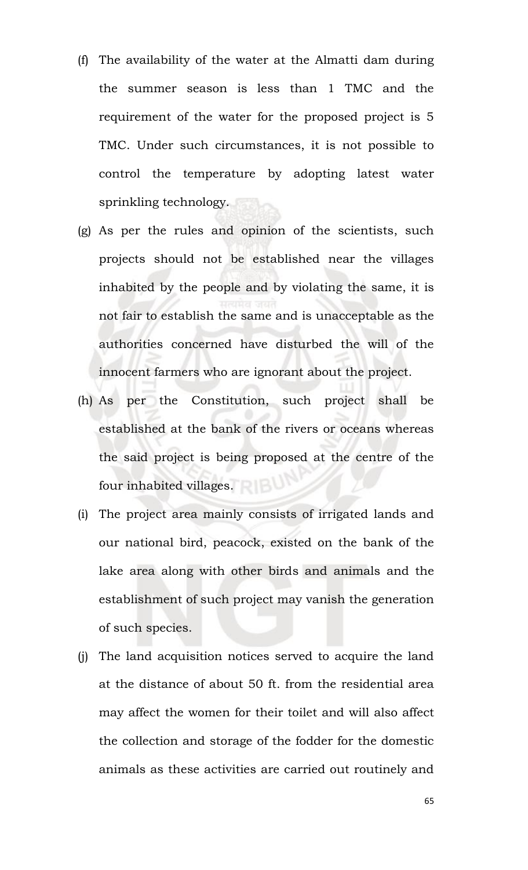- (f) The availability of the water at the Almatti dam during the summer season is less than 1 TMC and the requirement of the water for the proposed project is 5 TMC. Under such circumstances, it is not possible to control the temperature by adopting latest water sprinkling technology.
- (g) As per the rules and opinion of the scientists, such projects should not be established near the villages inhabited by the people and by violating the same, it is not fair to establish the same and is unacceptable as the authorities concerned have disturbed the will of the innocent farmers who are ignorant about the project.
- (h) As per the Constitution, such project shall be established at the bank of the rivers or oceans whereas the said project is being proposed at the centre of the four inhabited villages.
- (i) The project area mainly consists of irrigated lands and our national bird, peacock, existed on the bank of the lake area along with other birds and animals and the establishment of such project may vanish the generation of such species.
- (j) The land acquisition notices served to acquire the land at the distance of about 50 ft. from the residential area may affect the women for their toilet and will also affect the collection and storage of the fodder for the domestic animals as these activities are carried out routinely and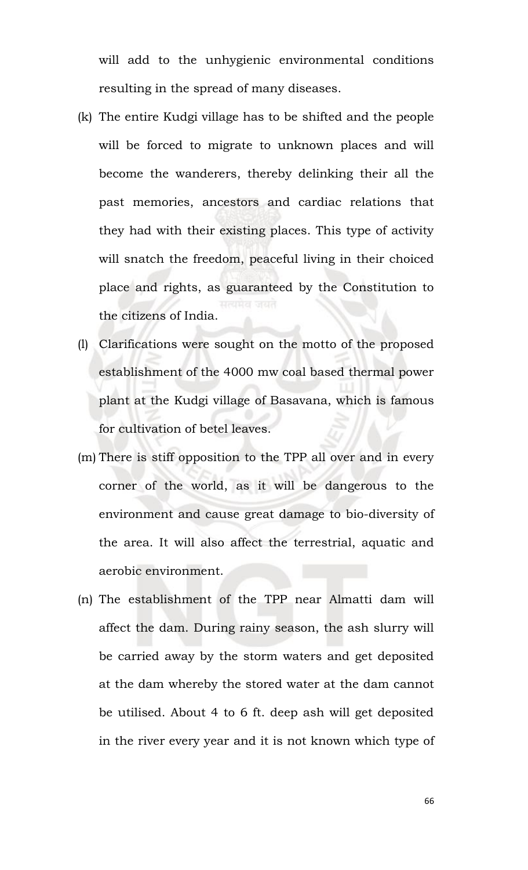will add to the unhygienic environmental conditions resulting in the spread of many diseases.

- (k) The entire Kudgi village has to be shifted and the people will be forced to migrate to unknown places and will become the wanderers, thereby delinking their all the past memories, ancestors and cardiac relations that they had with their existing places. This type of activity will snatch the freedom, peaceful living in their choiced place and rights, as guaranteed by the Constitution to the citizens of India.
- (l) Clarifications were sought on the motto of the proposed establishment of the 4000 mw coal based thermal power plant at the Kudgi village of Basavana, which is famous for cultivation of betel leaves.
- (m) There is stiff opposition to the TPP all over and in every corner of the world, as it will be dangerous to the environment and cause great damage to bio-diversity of the area. It will also affect the terrestrial, aquatic and aerobic environment.
- (n) The establishment of the TPP near Almatti dam will affect the dam. During rainy season, the ash slurry will be carried away by the storm waters and get deposited at the dam whereby the stored water at the dam cannot be utilised. About 4 to 6 ft. deep ash will get deposited in the river every year and it is not known which type of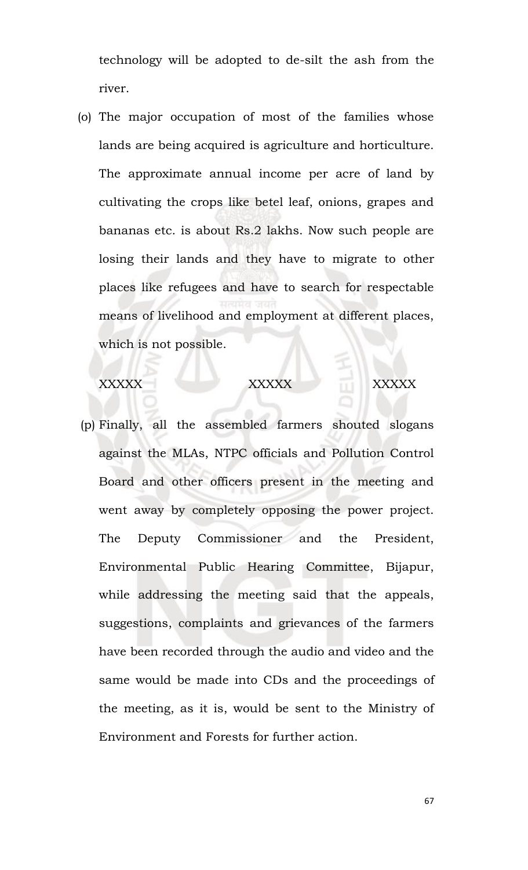technology will be adopted to de-silt the ash from the river.

(o) The major occupation of most of the families whose lands are being acquired is agriculture and horticulture. The approximate annual income per acre of land by cultivating the crops like betel leaf, onions, grapes and bananas etc. is about Rs.2 lakhs. Now such people are losing their lands and they have to migrate to other places like refugees and have to search for respectable means of livelihood and employment at different places, which is not possible.

XXXXX XXXXXX XXXXXX

(p) Finally, all the assembled farmers shouted slogans against the MLAs, NTPC officials and Pollution Control Board and other officers present in the meeting and went away by completely opposing the power project. The Deputy Commissioner and the President, Environmental Public Hearing Committee, Bijapur, while addressing the meeting said that the appeals, suggestions, complaints and grievances of the farmers have been recorded through the audio and video and the same would be made into CDs and the proceedings of the meeting, as it is, would be sent to the Ministry of Environment and Forests for further action.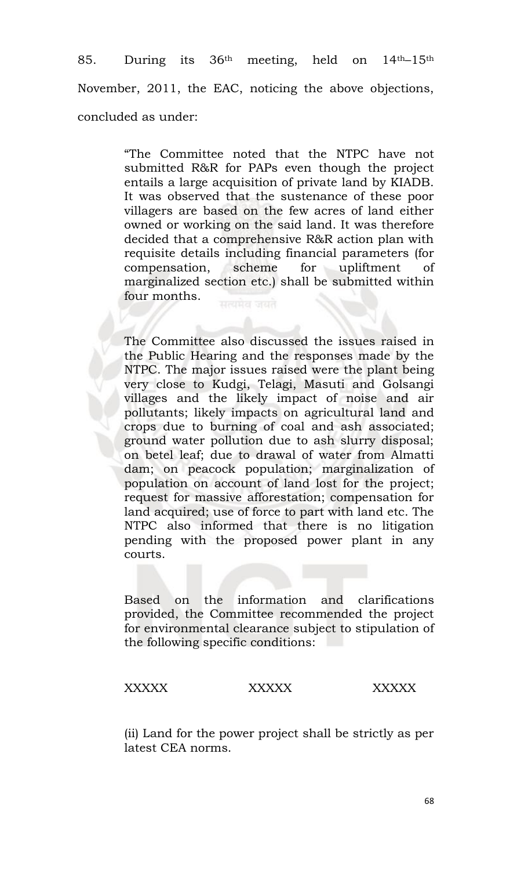85. During its 36th meeting, held on 14th–15th November, 2011, the EAC, noticing the above objections, concluded as under:

> "The Committee noted that the NTPC have not submitted R&R for PAPs even though the project entails a large acquisition of private land by KIADB. It was observed that the sustenance of these poor villagers are based on the few acres of land either owned or working on the said land. It was therefore decided that a comprehensive R&R action plan with requisite details including financial parameters (for compensation, scheme for upliftment of marginalized section etc.) shall be submitted within four months.

> The Committee also discussed the issues raised in the Public Hearing and the responses made by the NTPC. The major issues raised were the plant being very close to Kudgi, Telagi, Masuti and Golsangi villages and the likely impact of noise and air pollutants; likely impacts on agricultural land and crops due to burning of coal and ash associated; ground water pollution due to ash slurry disposal; on betel leaf; due to drawal of water from Almatti dam; on peacock population; marginalization of population on account of land lost for the project; request for massive afforestation; compensation for land acquired; use of force to part with land etc. The NTPC also informed that there is no litigation pending with the proposed power plant in any courts.

> Based on the information and clarifications provided, the Committee recommended the project for environmental clearance subject to stipulation of the following specific conditions:

### XXXXX XXXXX XXXXX

(ii) Land for the power project shall be strictly as per latest CEA norms.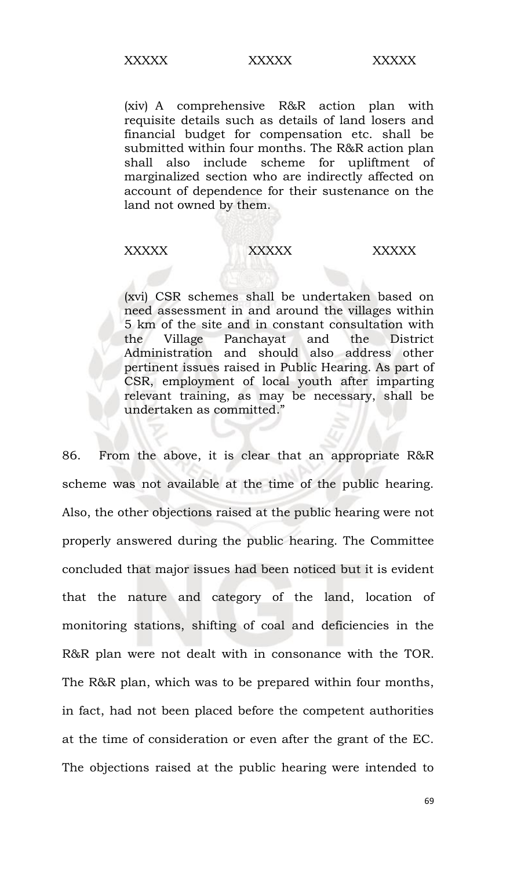(xiv) A comprehensive R&R action plan with requisite details such as details of land losers and financial budget for compensation etc. shall be submitted within four months. The R&R action plan shall also include scheme for upliftment of marginalized section who are indirectly affected on account of dependence for their sustenance on the land not owned by them.

### XXXXX XXXXXX XXXXX

(xvi) CSR schemes shall be undertaken based on need assessment in and around the villages within 5 km of the site and in constant consultation with the Village Panchayat and the District Administration and should also address other pertinent issues raised in Public Hearing. As part of CSR, employment of local youth after imparting relevant training, as may be necessary, shall be undertaken as committed."

86. From the above, it is clear that an appropriate R&R scheme was not available at the time of the public hearing. Also, the other objections raised at the public hearing were not properly answered during the public hearing. The Committee concluded that major issues had been noticed but it is evident that the nature and category of the land, location of monitoring stations, shifting of coal and deficiencies in the R&R plan were not dealt with in consonance with the TOR. The R&R plan, which was to be prepared within four months, in fact, had not been placed before the competent authorities at the time of consideration or even after the grant of the EC. The objections raised at the public hearing were intended to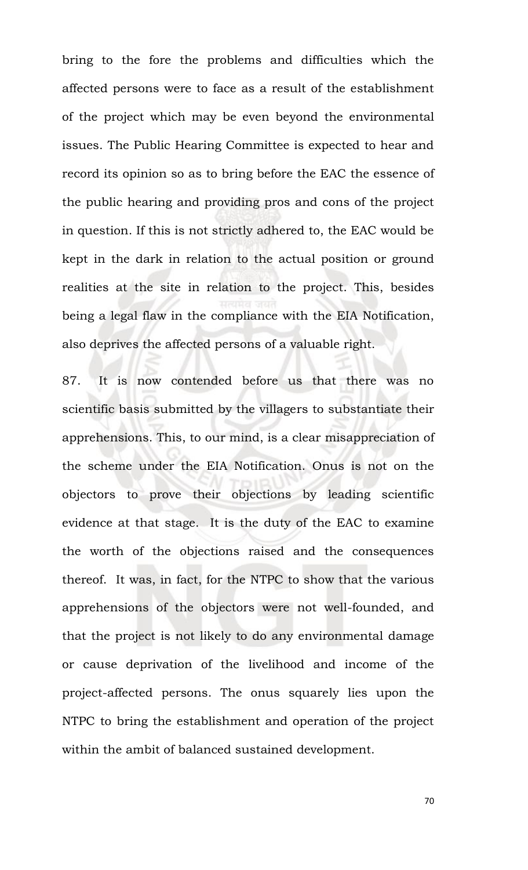bring to the fore the problems and difficulties which the affected persons were to face as a result of the establishment of the project which may be even beyond the environmental issues. The Public Hearing Committee is expected to hear and record its opinion so as to bring before the EAC the essence of the public hearing and providing pros and cons of the project in question. If this is not strictly adhered to, the EAC would be kept in the dark in relation to the actual position or ground realities at the site in relation to the project. This, besides being a legal flaw in the compliance with the EIA Notification, also deprives the affected persons of a valuable right.

87. It is now contended before us that there was no scientific basis submitted by the villagers to substantiate their apprehensions. This, to our mind, is a clear misappreciation of the scheme under the EIA Notification. Onus is not on the objectors to prove their objections by leading scientific evidence at that stage. It is the duty of the EAC to examine the worth of the objections raised and the consequences thereof. It was, in fact, for the NTPC to show that the various apprehensions of the objectors were not well-founded, and that the project is not likely to do any environmental damage or cause deprivation of the livelihood and income of the project-affected persons. The onus squarely lies upon the NTPC to bring the establishment and operation of the project within the ambit of balanced sustained development.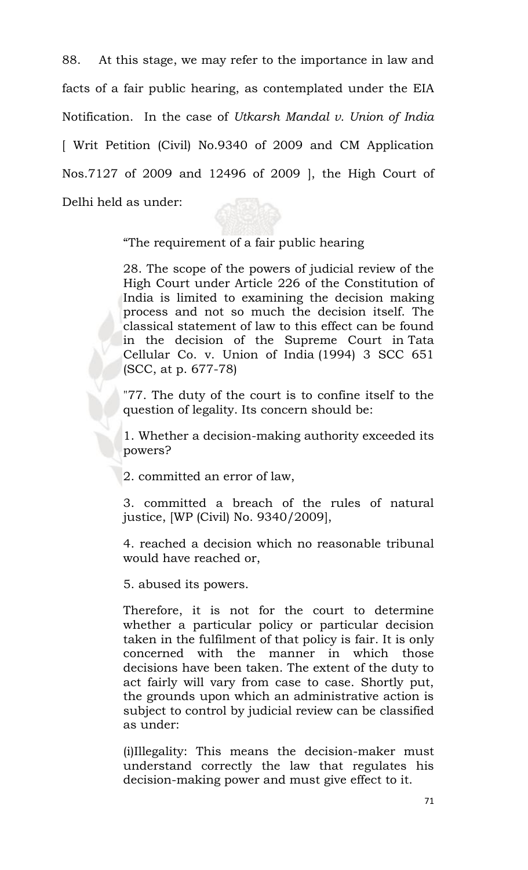88. At this stage, we may refer to the importance in law and facts of a fair public hearing, as contemplated under the EIA Notification. In the case of *Utkarsh Mandal v. Union of India*  [ Writ Petition (Civil) No.9340 of 2009 and CM Application Nos.7127 of 2009 and 12496 of 2009 ], the High Court of Delhi held as under:

"The requirement of a fair public hearing

28. The scope of the powers of judicial review of the High Court under Article 226 of the Constitution of India is limited to examining the decision making process and not so much the decision itself. The classical statement of law to this effect can be found in the decision of the Supreme Court in [Tata](http://indiankanoon.org/doc/884513/)  [Cellular Co. v. Union of India](http://indiankanoon.org/doc/884513/) (1994) 3 SCC 651 (SCC, at p. 677-78)

"77. The duty of the court is to confine itself to the question of legality. Its concern should be:

1. Whether a decision-making authority exceeded its powers?

2. committed an error of law,

3. committed a breach of the rules of natural justice, [WP (Civil) No. 9340/2009],

4. reached a decision which no reasonable tribunal would have reached or,

5. abused its powers.

Therefore, it is not for the court to determine whether a particular policy or particular decision taken in the fulfilment of that policy is fair. It is only concerned with the manner in which those decisions have been taken. The extent of the duty to act fairly will vary from case to case. Shortly put, the grounds upon which an administrative action is subject to control by judicial review can be classified as under:

(i)Illegality: This means the decision-maker must understand correctly the law that regulates his decision-making power and must give effect to it.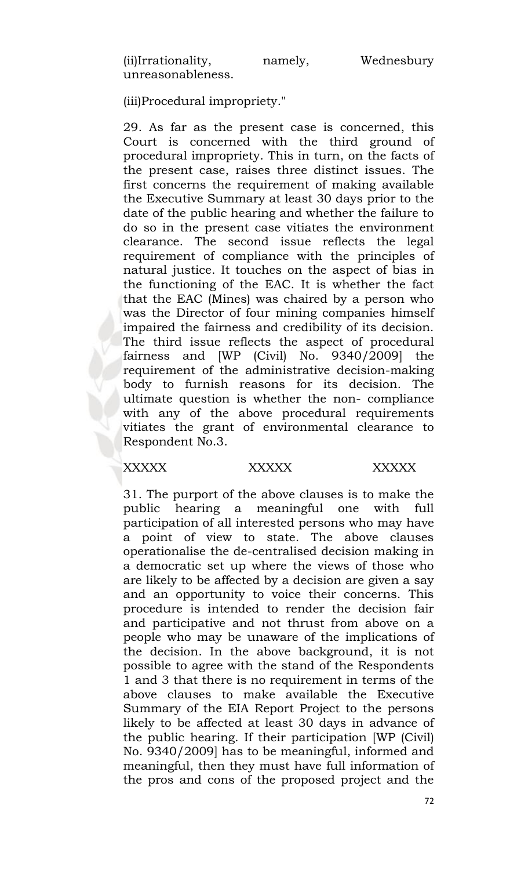(iii)Procedural impropriety."

29. As far as the present case is concerned, this Court is concerned with the third ground of procedural impropriety. This in turn, on the facts of the present case, raises three distinct issues. The first concerns the requirement of making available the Executive Summary at least 30 days prior to the date of the public hearing and whether the failure to do so in the present case vitiates the environment clearance. The second issue reflects the legal requirement of compliance with the principles of natural justice. It touches on the aspect of bias in the functioning of the EAC. It is whether the fact that the EAC (Mines) was chaired by a person who was the Director of four mining companies himself impaired the fairness and credibility of its decision. The third issue reflects the aspect of procedural fairness and [WP (Civil) No. 9340/2009] the requirement of the administrative decision-making body to furnish reasons for its decision. The ultimate question is whether the non- compliance with any of the above procedural requirements vitiates the grant of environmental clearance to Respondent No.3.

### XXXXX XXXXX XXXXX

31. The purport of the above clauses is to make the public hearing a meaningful one with full participation of all interested persons who may have a point of view to state. The above clauses operationalise the de-centralised decision making in a democratic set up where the views of those who are likely to be affected by a decision are given a say and an opportunity to voice their concerns. This procedure is intended to render the decision fair and participative and not thrust from above on a people who may be unaware of the implications of the decision. In the above background, it is not possible to agree with the stand of the Respondents 1 and 3 that there is no requirement in terms of the above clauses to make available the Executive Summary of the EIA Report Project to the persons likely to be affected at least 30 days in advance of the public hearing. If their participation [WP (Civil) No. 9340/2009] has to be meaningful, informed and meaningful, then they must have full information of the pros and cons of the proposed project and the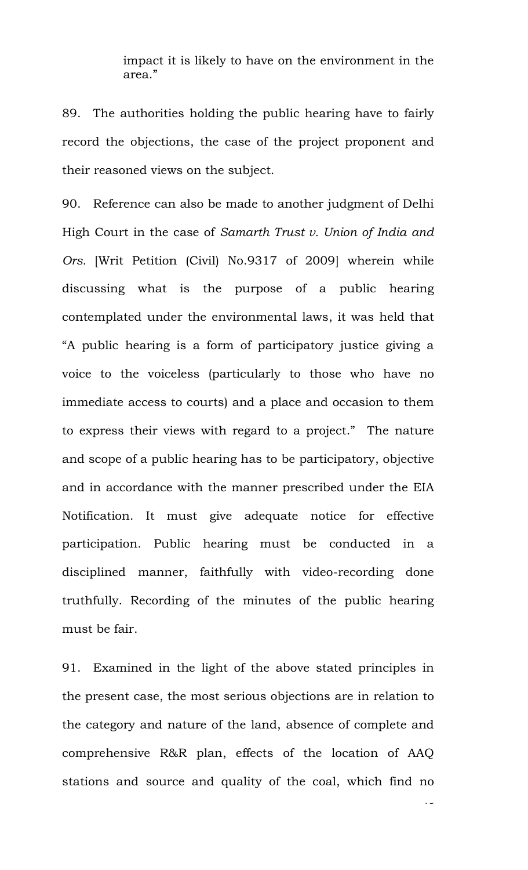impact it is likely to have on the environment in the area."

89. The authorities holding the public hearing have to fairly record the objections, the case of the project proponent and their reasoned views on the subject.

90. Reference can also be made to another judgment of Delhi High Court in the case of *Samarth Trust v. Union of India and Ors.* [Writ Petition (Civil) No.9317 of 2009] wherein while discussing what is the purpose of a public hearing contemplated under the environmental laws, it was held that "A public hearing is a form of participatory justice giving a voice to the voiceless (particularly to those who have no immediate access to courts) and a place and occasion to them to express their views with regard to a project." The nature and scope of a public hearing has to be participatory, objective and in accordance with the manner prescribed under the EIA Notification. It must give adequate notice for effective participation. Public hearing must be conducted in a disciplined manner, faithfully with video-recording done truthfully. Recording of the minutes of the public hearing must be fair.

91. Examined in the light of the above stated principles in the present case, the most serious objections are in relation to the category and nature of the land, absence of complete and comprehensive R&R plan, effects of the location of AAQ stations and source and quality of the coal, which find no

 $\overline{7}$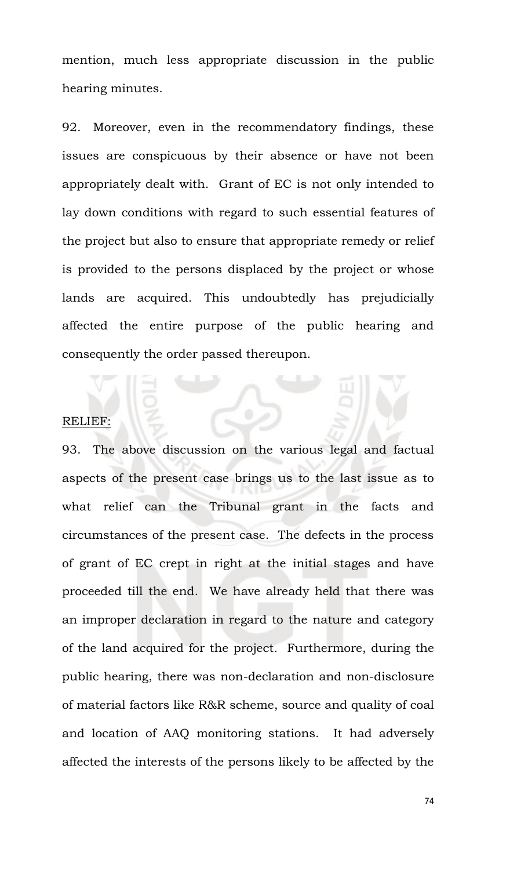mention, much less appropriate discussion in the public hearing minutes.

92. Moreover, even in the recommendatory findings, these issues are conspicuous by their absence or have not been appropriately dealt with. Grant of EC is not only intended to lay down conditions with regard to such essential features of the project but also to ensure that appropriate remedy or relief is provided to the persons displaced by the project or whose lands are acquired. This undoubtedly has prejudicially affected the entire purpose of the public hearing and consequently the order passed thereupon.

## RELIEF:

93. The above discussion on the various legal and factual aspects of the present case brings us to the last issue as to what relief can the Tribunal grant in the facts and circumstances of the present case. The defects in the process of grant of EC crept in right at the initial stages and have proceeded till the end. We have already held that there was an improper declaration in regard to the nature and category of the land acquired for the project*.* Furthermore, during the public hearing, there was non-declaration and non-disclosure of material factors like R&R scheme, source and quality of coal and location of AAQ monitoring stations. It had adversely affected the interests of the persons likely to be affected by the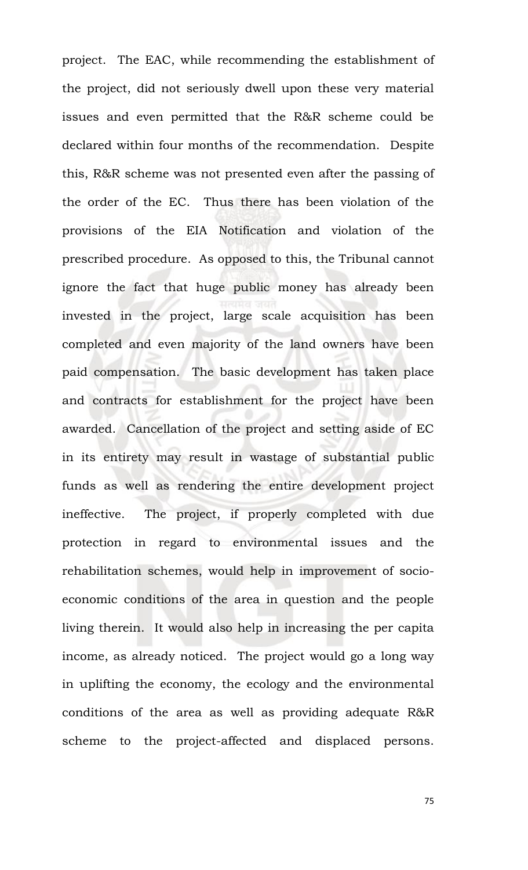project. The EAC, while recommending the establishment of the project, did not seriously dwell upon these very material issues and even permitted that the R&R scheme could be declared within four months of the recommendation. Despite this, R&R scheme was not presented even after the passing of the order of the EC. Thus there has been violation of the provisions of the EIA Notification and violation of the prescribed procedure. As opposed to this, the Tribunal cannot ignore the fact that huge public money has already been invested in the project, large scale acquisition has been completed and even majority of the land owners have been paid compensation. The basic development has taken place and contracts for establishment for the project have been awarded. Cancellation of the project and setting aside of EC in its entirety may result in wastage of substantial public funds as well as rendering the entire development project ineffective. The project, if properly completed with due protection in regard to environmental issues and the rehabilitation schemes, would help in improvement of socioeconomic conditions of the area in question and the people living therein. It would also help in increasing the per capita income, as already noticed. The project would go a long way in uplifting the economy, the ecology and the environmental conditions of the area as well as providing adequate R&R scheme to the project-affected and displaced persons.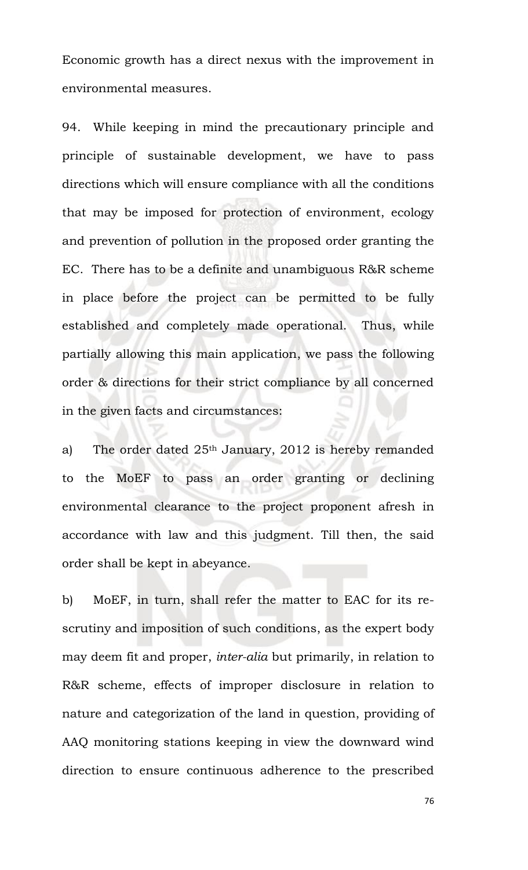Economic growth has a direct nexus with the improvement in environmental measures.

94. While keeping in mind the precautionary principle and principle of sustainable development, we have to pass directions which will ensure compliance with all the conditions that may be imposed for protection of environment, ecology and prevention of pollution in the proposed order granting the EC. There has to be a definite and unambiguous R&R scheme in place before the project can be permitted to be fully established and completely made operational. Thus, while partially allowing this main application, we pass the following order & directions for their strict compliance by all concerned in the given facts and circumstances:

a) The order dated 25<sup>th</sup> January, 2012 is hereby remanded to the MoEF to pass an order granting or declining environmental clearance to the project proponent afresh in accordance with law and this judgment. Till then, the said order shall be kept in abeyance.

b) MoEF, in turn, shall refer the matter to EAC for its rescrutiny and imposition of such conditions, as the expert body may deem fit and proper, *inter-alia* but primarily, in relation to R&R scheme, effects of improper disclosure in relation to nature and categorization of the land in question, providing of AAQ monitoring stations keeping in view the downward wind direction to ensure continuous adherence to the prescribed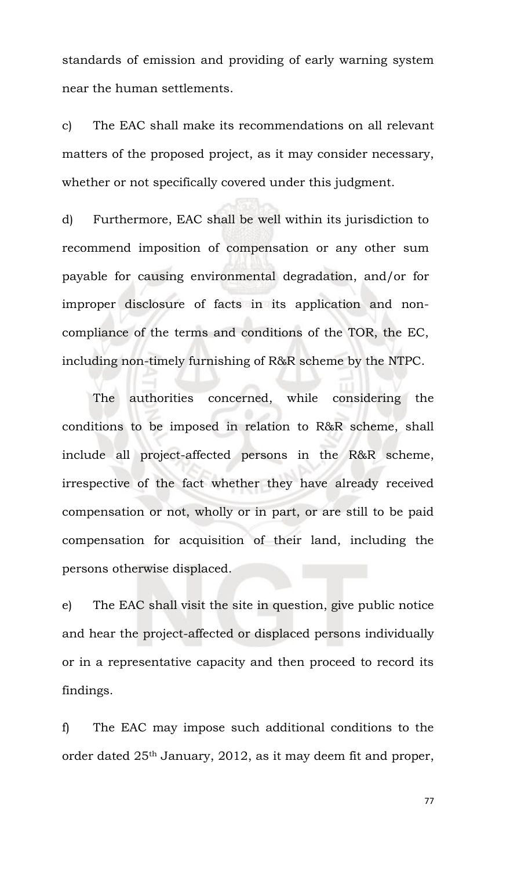standards of emission and providing of early warning system near the human settlements.

c) The EAC shall make its recommendations on all relevant matters of the proposed project, as it may consider necessary, whether or not specifically covered under this judgment.

d) Furthermore, EAC shall be well within its jurisdiction to recommend imposition of compensation or any other sum payable for causing environmental degradation, and/or for improper disclosure of facts in its application and noncompliance of the terms and conditions of the TOR, the EC, including non-timely furnishing of R&R scheme by the NTPC.

The authorities concerned, while considering the conditions to be imposed in relation to R&R scheme, shall include all project-affected persons in the R&R scheme, irrespective of the fact whether they have already received compensation or not, wholly or in part, or are still to be paid compensation for acquisition of their land, including the persons otherwise displaced.

e) The EAC shall visit the site in question, give public notice and hear the project-affected or displaced persons individually or in a representative capacity and then proceed to record its findings.

f) The EAC may impose such additional conditions to the order dated 25th January, 2012, as it may deem fit and proper,

77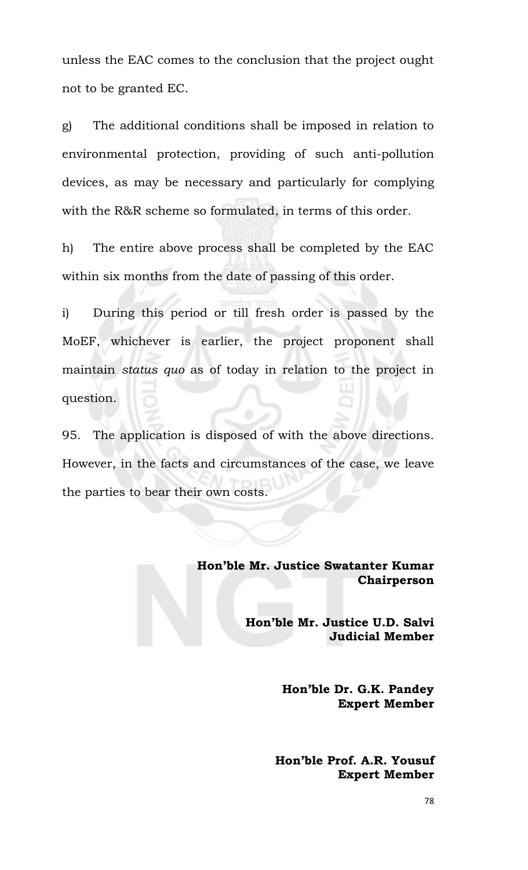unless the EAC comes to the conclusion that the project ought not to be granted EC.

g) The additional conditions shall be imposed in relation to environmental protection, providing of such anti-pollution devices, as may be necessary and particularly for complying with the R&R scheme so formulated, in terms of this order.

h) The entire above process shall be completed by the EAC within six months from the date of passing of this order.

i) During this period or till fresh order is passed by the MoEF, whichever is earlier, the project proponent shall maintain *status quo* as of today in relation to the project in question.

95. The application is disposed of with the above directions. However, in the facts and circumstances of the case, we leave the parties to bear their own costs.

> **Hon'ble Mr. Justice Swatanter Kumar Chairperson**

> > **Hon'ble Mr. Justice U.D. Salvi Judicial Member**

> > > **Hon'ble Dr. G.K. Pandey Expert Member**

**Hon'ble Prof. A.R. Yousuf Expert Member**

78